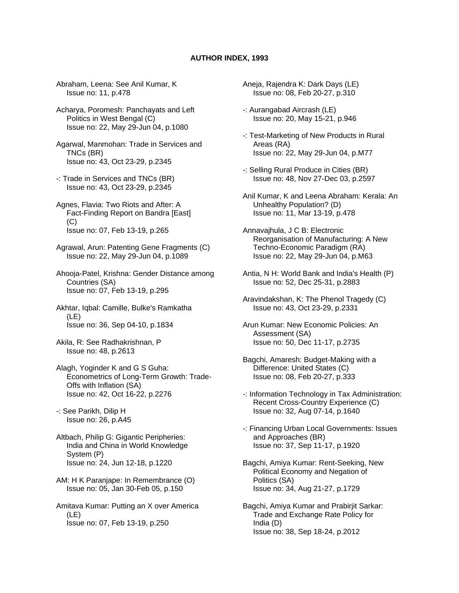## **AUTHOR INDEX, 1993**

Abraham, Leena: See Anil Kumar, K Issue no: 11, p.478

Acharya, Poromesh: Panchayats and Left Politics in West Bengal (C) Issue no: 22, May 29-Jun 04, p.1080

Agarwal, Manmohan: Trade in Services and TNCs (BR) Issue no: 43, Oct 23-29, p.2345

- -: Trade in Services and TNCs (BR) Issue no: 43, Oct 23-29, p.2345
- Agnes, Flavia: Two Riots and After: A Fact-Finding Report on Bandra [East] (C) Issue no: 07, Feb 13-19, p.265
- Agrawal, Arun: Patenting Gene Fragments (C) Issue no: 22, May 29-Jun 04, p.1089

Ahooja-Patel, Krishna: Gender Distance among Countries (SA) Issue no: 07, Feb 13-19, p.295

Akhtar, Iqbal: Camille, Bulke's Ramkatha (LE) Issue no: 36, Sep 04-10, p.1834

Akila, R: See Radhakrishnan, P Issue no: 48, p.2613

Alagh, Yoginder K and G S Guha: Econometrics of Long-Term Growth: Trade- Offs with Inflation (SA) Issue no: 42, Oct 16-22, p.2276

-: See Parikh, Dilip H Issue no: 26, p.A45

- Altbach, Philip G: Gigantic Peripheries: India and China in World Knowledge System (P) Issue no: 24, Jun 12-18, p.1220
- AM: H K Paranjape: In Remembrance (O) Issue no: 05, Jan 30-Feb 05, p.150

Amitava Kumar: Putting an X over America (LE) Issue no: 07, Feb 13-19, p.250

- Aneja, Rajendra K: Dark Days (LE) Issue no: 08, Feb 20-27, p.310
- -: Aurangabad Aircrash (LE) Issue no: 20, May 15-21, p.946
- -: Test-Marketing of New Products in Rural Areas (RA) Issue no: 22, May 29-Jun 04, p.M77
- -: Selling Rural Produce in Cities (BR) Issue no: 48, Nov 27-Dec 03, p.2597
- Anil Kumar, K and Leena Abraham: Kerala: An Unhealthy Population? (D) Issue no: 11, Mar 13-19, p.478
- Annavajhula, J C B: Electronic Reorganisation of Manufacturing: A New Techno-Economic Paradigm (RA) Issue no: 22, May 29-Jun 04, p.M63
- Antia, N H: World Bank and India's Health (P) Issue no: 52, Dec 25-31, p.2883
- Aravindakshan, K: The Phenol Tragedy (C) Issue no: 43, Oct 23-29, p.2331
- Arun Kumar: New Economic Policies: An Assessment (SA) Issue no: 50, Dec 11-17, p.2735
- Bagchi, Amaresh: Budget-Making with a Difference: United States (C) Issue no: 08, Feb 20-27, p.333
- -: Information Technology in Tax Administration: Recent Cross-Country Experience (C) Issue no: 32, Aug 07-14, p.1640
- -: Financing Urban Local Governments: Issues and Approaches (BR) Issue no: 37, Sep 11-17, p.1920
- Bagchi, Amiya Kumar: Rent-Seeking, New Political Economy and Negation of Politics (SA) Issue no: 34, Aug 21-27, p.1729
- Bagchi, Amiya Kumar and Prabirjit Sarkar: Trade and Exchange Rate Policy for India (D) Issue no: 38, Sep 18-24, p.2012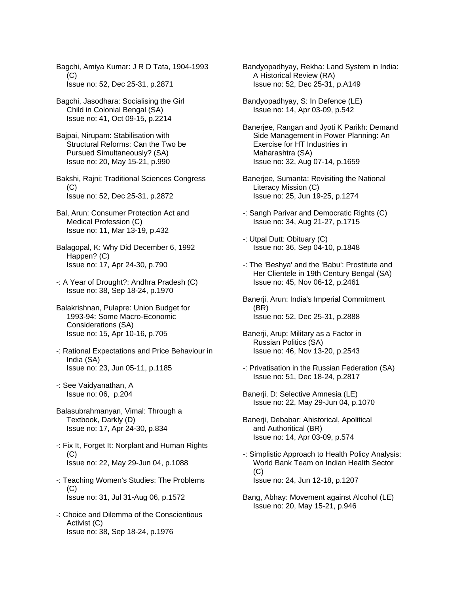Bagchi, Amiya Kumar: J R D Tata, 1904-1993  $(C)$ Issue no: 52, Dec 25-31, p.2871

Bagchi, Jasodhara: Socialising the Girl Child in Colonial Bengal (SA) Issue no: 41, Oct 09-15, p.2214

Bajpai, Nirupam: Stabilisation with Structural Reforms: Can the Two be Pursued Simultaneously? (SA) Issue no: 20, May 15-21, p.990

Bakshi, Rajni: Traditional Sciences Congress  $(C)$ Issue no: 52, Dec 25-31, p.2872

- Bal, Arun: Consumer Protection Act and Medical Profession (C) Issue no: 11, Mar 13-19, p.432
- Balagopal, K: Why Did December 6, 1992 Happen? (C) Issue no: 17, Apr 24-30, p.790
- -: A Year of Drought?: Andhra Pradesh (C) Issue no: 38, Sep 18-24, p.1970
- Balakrishnan, Pulapre: Union Budget for 1993-94: Some Macro-Economic Considerations (SA) Issue no: 15, Apr 10-16, p.705
- -: Rational Expectations and Price Behaviour in India (SA) Issue no: 23, Jun 05-11, p.1185
- -: See Vaidyanathan, A Issue no: 06, p.204
- Balasubrahmanyan, Vimal: Through a Textbook, Darkly (D) Issue no: 17, Apr 24-30, p.834
- -: Fix It, Forget It: Norplant and Human Rights (C) Issue no: 22, May 29-Jun 04, p.1088
- -: Teaching Women's Studies: The Problems (C) Issue no: 31, Jul 31-Aug 06, p.1572
- -: Choice and Dilemma of the Conscientious Activist (C) Issue no: 38, Sep 18-24, p.1976

Bandyopadhyay, Rekha: Land System in India: A Historical Review (RA) Issue no: 52, Dec 25-31, p.A149

Bandyopadhyay, S: In Defence (LE) Issue no: 14, Apr 03-09, p.542

Banerjee, Rangan and Jyoti K Parikh: Demand Side Management in Power Planning: An Exercise for HT Industries in Maharashtra (SA) Issue no: 32, Aug 07-14, p.1659

- Banerjee, Sumanta: Revisiting the National Literacy Mission (C) Issue no: 25, Jun 19-25, p.1274
- -: Sangh Parivar and Democratic Rights (C) Issue no: 34, Aug 21-27, p.1715
- -: Utpal Dutt: Obituary (C) Issue no: 36, Sep 04-10, p.1848
- -: The 'Beshya' and the 'Babu': Prostitute and Her Clientele in 19th Century Bengal (SA) Issue no: 45, Nov 06-12, p.2461
- Banerji, Arun: India's Imperial Commitment (BR) Issue no: 52, Dec 25-31, p.2888
- Banerji, Arup: Military as a Factor in Russian Politics (SA) Issue no: 46, Nov 13-20, p.2543
- -: Privatisation in the Russian Federation (SA) Issue no: 51, Dec 18-24, p.2817
- Banerji, D: Selective Amnesia (LE) Issue no: 22, May 29-Jun 04, p.1070
- Banerji, Debabar: Ahistorical, Apolitical and Authoritical (BR) Issue no: 14, Apr 03-09, p.574
- -: Simplistic Approach to Health Policy Analysis: World Bank Team on Indian Health Sector (C) Issue no: 24, Jun 12-18, p.1207
- Bang, Abhay: Movement against Alcohol (LE) Issue no: 20, May 15-21, p.946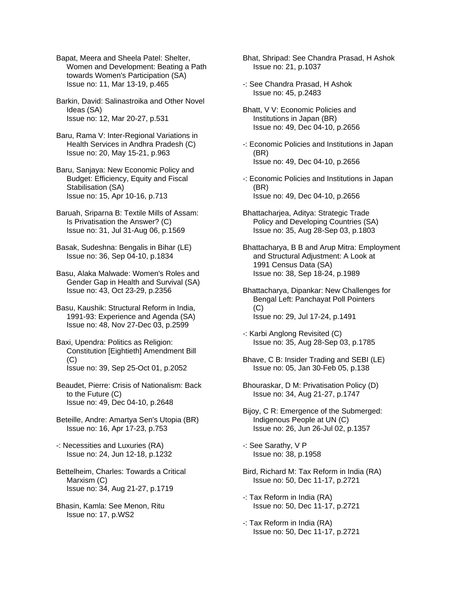Bapat, Meera and Sheela Patel: Shelter, Women and Development: Beating a Path towards Women's Participation (SA) Issue no: 11, Mar 13-19, p.465

Barkin, David: Salinastroika and Other Novel Ideas (SA) Issue no: 12, Mar 20-27, p.531

Baru, Rama V: Inter-Regional Variations in Health Services in Andhra Pradesh (C) Issue no: 20, May 15-21, p.963

Baru, Sanjaya: New Economic Policy and Budget: Efficiency, Equity and Fiscal Stabilisation (SA) Issue no: 15, Apr 10-16, p.713

Baruah, Sriparna B: Textile Mills of Assam: Is Privatisation the Answer? (C) Issue no: 31, Jul 31-Aug 06, p.1569

Basak, Sudeshna: Bengalis in Bihar (LE) Issue no: 36, Sep 04-10, p.1834

Basu, Alaka Malwade: Women's Roles and Gender Gap in Health and Survival (SA) Issue no: 43, Oct 23-29, p.2356

Basu, Kaushik: Structural Reform in India, 1991-93: Experience and Agenda (SA) Issue no: 48, Nov 27-Dec 03, p.2599

Baxi, Upendra: Politics as Religion: Constitution [Eightieth] Amendment Bill  $(C)$ Issue no: 39, Sep 25-Oct 01, p.2052

Beaudet, Pierre: Crisis of Nationalism: Back to the Future (C) Issue no: 49, Dec 04-10, p.2648

Beteille, Andre: Amartya Sen's Utopia (BR) Issue no: 16, Apr 17-23, p.753

-: Necessities and Luxuries (RA) Issue no: 24, Jun 12-18, p.1232

Bettelheim, Charles: Towards a Critical Marxism (C) Issue no: 34, Aug 21-27, p.1719

Bhasin, Kamla: See Menon, Ritu Issue no: 17, p.WS2

Bhat, Shripad: See Chandra Prasad, H Ashok Issue no: 21, p.1037

-: See Chandra Prasad, H Ashok Issue no: 45, p.2483

Bhatt, V V: Economic Policies and Institutions in Japan (BR) Issue no: 49, Dec 04-10, p.2656

-: Economic Policies and Institutions in Japan (BR) Issue no: 49, Dec 04-10, p.2656

-: Economic Policies and Institutions in Japan (BR) Issue no: 49, Dec 04-10, p.2656

Bhattacharjea, Aditya: Strategic Trade Policy and Developing Countries (SA) Issue no: 35, Aug 28-Sep 03, p.1803

Bhattacharya, B B and Arup Mitra: Employment and Structural Adjustment: A Look at 1991 Census Data (SA) Issue no: 38, Sep 18-24, p.1989

Bhattacharya, Dipankar: New Challenges for Bengal Left: Panchayat Poll Pointers (C) Issue no: 29, Jul 17-24, p.1491

-: Karbi Anglong Revisited (C) Issue no: 35, Aug 28-Sep 03, p.1785

Bhave, C B: Insider Trading and SEBI (LE) Issue no: 05, Jan 30-Feb 05, p.138

Bhouraskar, D M: Privatisation Policy (D) Issue no: 34, Aug 21-27, p.1747

Bijoy, C R: Emergence of the Submerged: Indigenous People at UN (C) Issue no: 26, Jun 26-Jul 02, p.1357

-: See Sarathy, V P Issue no: 38, p.1958

Bird, Richard M: Tax Reform in India (RA) Issue no: 50, Dec 11-17, p.2721

-: Tax Reform in India (RA) Issue no: 50, Dec 11-17, p.2721

-: Tax Reform in India (RA) Issue no: 50, Dec 11-17, p.2721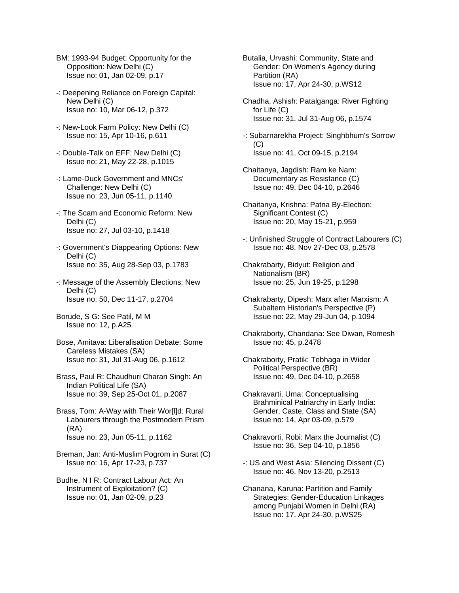- BM: 1993-94 Budget: Opportunity for the Opposition: New Delhi (C) Issue no: 01, Jan 02-09, p.17
- -: Deepening Reliance on Foreign Capital: New Delhi (C) Issue no: 10, Mar 06-12, p.372
- -: New-Look Farm Policy: New Delhi (C) Issue no: 15, Apr 10-16, p.611
- -: Double-Talk on EFF: New Delhi (C) Issue no: 21, May 22-28, p.1015
- -: Lame-Duck Government and MNCs' Challenge: New Delhi (C) Issue no: 23, Jun 05-11, p.1140
- -: The Scam and Economic Reform: New Delhi (C) Issue no: 27, Jul 03-10, p.1418
- -: Government's Diappearing Options: New Delhi (C) Issue no: 35, Aug 28-Sep 03, p.1783
- -: Message of the Assembly Elections: New Delhi (C) Issue no: 50, Dec 11-17, p.2704
- Borude, S G: See Patil, M M Issue no: 12, p.A25
- Bose, Amitava: Liberalisation Debate: Some Careless Mistakes (SA) Issue no: 31, Jul 31-Aug 06, p.1612
- Brass, Paul R: Chaudhuri Charan Singh: An Indian Political Life (SA) Issue no: 39, Sep 25-Oct 01, p.2087
- Brass, Tom: A-Way with Their Wor[l]d: Rural Labourers through the Postmodern Prism (RA) Issue no: 23, Jun 05-11, p.1162
- Breman, Jan: Anti-Muslim Pogrom in Surat (C) Issue no: 16, Apr 17-23, p.737
- Budhe, N I R: Contract Labour Act: An Instrument of Exploitation? (C) Issue no: 01, Jan 02-09, p.23
- Butalia, Urvashi: Community, State and Gender: On Women's Agency during Partition (RA) Issue no: 17, Apr 24-30, p.WS12
- Chadha, Ashish: Patalganga: River Fighting for Life (C) Issue no: 31, Jul 31-Aug 06, p.1574
- -: Subarnarekha Project: Singhbhum's Sorrow (C) Issue no: 41, Oct 09-15, p.2194
- Chaitanya, Jagdish: Ram ke Nam: Documentary as Resistance (C) Issue no: 49, Dec 04-10, p.2646
- Chaitanya, Krishna: Patna By-Election: Significant Contest (C) Issue no: 20, May 15-21, p.959
- -: Unfinished Struggle of Contract Labourers (C) Issue no: 48, Nov 27-Dec 03, p.2578
- Chakrabarty, Bidyut: Religion and Nationalism (BR) Issue no: 25, Jun 19-25, p.1298
- Chakrabarty, Dipesh: Marx after Marxism: A Subaltern Historian's Perspective (P) Issue no: 22, May 29-Jun 04, p.1094
- Chakraborty, Chandana: See Diwan, Romesh Issue no: 45, p.2478
- Chakraborty, Pratik: Tebhaga in Wider Political Perspective (BR) Issue no: 49, Dec 04-10, p.2658
- Chakravarti, Uma: Conceptualising Brahminical Patriarchy in Early India: Gender, Caste, Class and State (SA) Issue no: 14, Apr 03-09, p.579
- Chakravorti, Robi: Marx the Journalist (C) Issue no: 36, Sep 04-10, p.1856
- -: US and West Asia: Silencing Dissent (C) Issue no: 46, Nov 13-20, p.2513
- Chanana, Karuna: Partition and Family Strategies: Gender-Education Linkages among Punjabi Women in Delhi (RA) Issue no: 17, Apr 24-30, p.WS25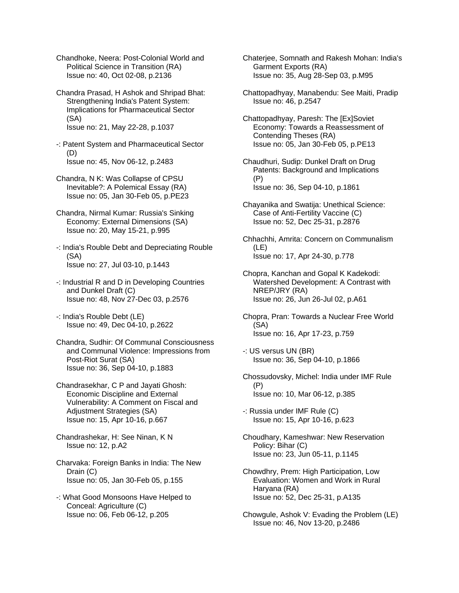Chandhoke, Neera: Post-Colonial World and Political Science in Transition (RA) Issue no: 40, Oct 02-08, p.2136

Chandra Prasad, H Ashok and Shripad Bhat: Strengthening India's Patent System: Implications for Pharmaceutical Sector (SA) Issue no: 21, May 22-28, p.1037

-: Patent System and Pharmaceutical Sector (D) Issue no: 45, Nov 06-12, p.2483

- Chandra, N K: Was Collapse of CPSU Inevitable?: A Polemical Essay (RA) Issue no: 05, Jan 30-Feb 05, p.PE23
- Chandra, Nirmal Kumar: Russia's Sinking Economy: External Dimensions (SA) Issue no: 20, May 15-21, p.995
- -: India's Rouble Debt and Depreciating Rouble (SA) Issue no: 27, Jul 03-10, p.1443
- -: Industrial R and D in Developing Countries and Dunkel Draft (C) Issue no: 48, Nov 27-Dec 03, p.2576
- -: India's Rouble Debt (LE) Issue no: 49, Dec 04-10, p.2622
- Chandra, Sudhir: Of Communal Consciousness and Communal Violence: Impressions from Post-Riot Surat (SA) Issue no: 36, Sep 04-10, p.1883

Chandrasekhar, C P and Jayati Ghosh: Economic Discipline and External Vulnerability: A Comment on Fiscal and Adjustment Strategies (SA) Issue no: 15, Apr 10-16, p.667

- Chandrashekar, H: See Ninan, K N Issue no: 12, p.A2
- Charvaka: Foreign Banks in India: The New Drain (C) Issue no: 05, Jan 30-Feb 05, p.155
- -: What Good Monsoons Have Helped to Conceal: Agriculture (C) Issue no: 06, Feb 06-12, p.205
- Chaterjee, Somnath and Rakesh Mohan: India's Garment Exports (RA) Issue no: 35, Aug 28-Sep 03, p.M95
- Chattopadhyay, Manabendu: See Maiti, Pradip Issue no: 46, p.2547
- Chattopadhyay, Paresh: The [Ex]Soviet Economy: Towards a Reassessment of Contending Theses (RA) Issue no: 05, Jan 30-Feb 05, p.PE13
- Chaudhuri, Sudip: Dunkel Draft on Drug Patents: Background and Implications (P) Issue no: 36, Sep 04-10, p.1861
- Chayanika and Swatija: Unethical Science: Case of Anti-Fertility Vaccine (C) Issue no: 52, Dec 25-31, p.2876

Chhachhi, Amrita: Concern on Communalism (LE) Issue no: 17, Apr 24-30, p.778

- Chopra, Kanchan and Gopal K Kadekodi: Watershed Development: A Contrast with NREP/JRY (RA) Issue no: 26, Jun 26-Jul 02, p.A61
- Chopra, Pran: Towards a Nuclear Free World (SA) Issue no: 16, Apr 17-23, p.759
- -: US versus UN (BR) Issue no: 36, Sep 04-10, p.1866
- Chossudovsky, Michel: India under IMF Rule (P) Issue no: 10, Mar 06-12, p.385
- -: Russia under IMF Rule (C) Issue no: 15, Apr 10-16, p.623
- Choudhary, Kameshwar: New Reservation Policy: Bihar (C) Issue no: 23, Jun 05-11, p.1145
- Chowdhry, Prem: High Participation, Low Evaluation: Women and Work in Rural Haryana (RA) Issue no: 52, Dec 25-31, p.A135
- Chowgule, Ashok V: Evading the Problem (LE) Issue no: 46, Nov 13-20, p.2486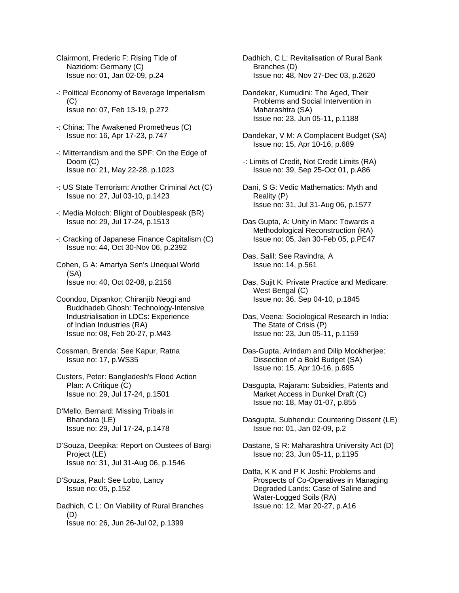- Clairmont, Frederic F: Rising Tide of Nazidom: Germany (C) Issue no: 01, Jan 02-09, p.24
- -: Political Economy of Beverage Imperialism  $(C)$ Issue no: 07, Feb 13-19, p.272
- -: China: The Awakened Prometheus (C) Issue no: 16, Apr 17-23, p.747
- -: Mitterrandism and the SPF: On the Edge of Doom (C) Issue no: 21, May 22-28, p.1023
- -: US State Terrorism: Another Criminal Act (C) Issue no: 27, Jul 03-10, p.1423
- -: Media Moloch: Blight of Doublespeak (BR) Issue no: 29, Jul 17-24, p.1513
- -: Cracking of Japanese Finance Capitalism (C) Issue no: 44, Oct 30-Nov 06, p.2392
- Cohen, G A: Amartya Sen's Unequal World (SA) Issue no: 40, Oct 02-08, p.2156
- Coondoo, Dipankor; Chiranjib Neogi and Buddhadeb Ghosh: Technology-Intensive Industrialisation in LDCs: Experience of Indian Industries (RA) Issue no: 08, Feb 20-27, p.M43
- Cossman, Brenda: See Kapur, Ratna Issue no: 17, p.WS35
- Custers, Peter: Bangladesh's Flood Action Plan: A Critique (C) Issue no: 29, Jul 17-24, p.1501
- D'Mello, Bernard: Missing Tribals in Bhandara (LE) Issue no: 29, Jul 17-24, p.1478
- D'Souza, Deepika: Report on Oustees of Bargi Project (LE) Issue no: 31, Jul 31-Aug 06, p.1546
- D'Souza, Paul: See Lobo, Lancy Issue no: 05, p.152
- Dadhich, C L: On Viability of Rural Branches (D) Issue no: 26, Jun 26-Jul 02, p.1399
- Dadhich, C L: Revitalisation of Rural Bank Branches (D) Issue no: 48, Nov 27-Dec 03, p.2620
- Dandekar, Kumudini: The Aged, Their Problems and Social Intervention in Maharashtra (SA) Issue no: 23, Jun 05-11, p.1188
- Dandekar, V M: A Complacent Budget (SA) Issue no: 15, Apr 10-16, p.689
- -: Limits of Credit, Not Credit Limits (RA) Issue no: 39, Sep 25-Oct 01, p.A86
- Dani, S G: Vedic Mathematics: Myth and Reality (P) Issue no: 31, Jul 31-Aug 06, p.1577
- Das Gupta, A: Unity in Marx: Towards a Methodological Reconstruction (RA) Issue no: 05, Jan 30-Feb 05, p.PE47
- Das, Salil: See Ravindra, A Issue no: 14, p.561
- Das, Sujit K: Private Practice and Medicare: West Bengal (C) Issue no: 36, Sep 04-10, p.1845
- Das, Veena: Sociological Research in India: The State of Crisis (P) Issue no: 23, Jun 05-11, p.1159
- Das-Gupta, Arindam and Dilip Mookherjee: Dissection of a Bold Budget (SA) Issue no: 15, Apr 10-16, p.695
- Dasgupta, Rajaram: Subsidies, Patents and Market Access in Dunkel Draft (C) Issue no: 18, May 01-07, p.855
- Dasgupta, Subhendu: Countering Dissent (LE) Issue no: 01, Jan 02-09, p.2
- Dastane, S R: Maharashtra University Act (D) Issue no: 23, Jun 05-11, p.1195
- Datta, K K and P K Joshi: Problems and Prospects of Co-Operatives in Managing Degraded Lands: Case of Saline and Water-Logged Soils (RA) Issue no: 12, Mar 20-27, p.A16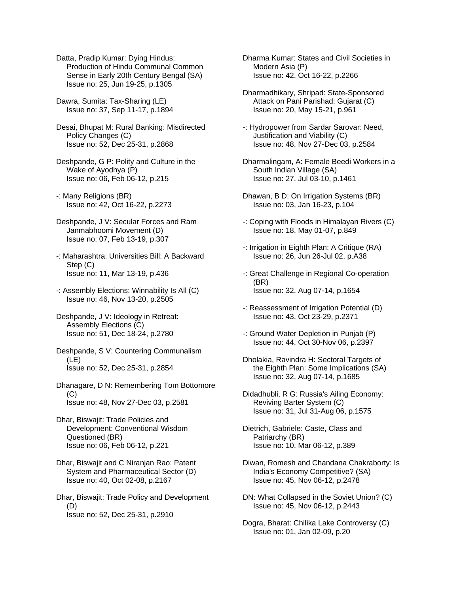Datta, Pradip Kumar: Dying Hindus: Production of Hindu Communal Common Sense in Early 20th Century Bengal (SA) Issue no: 25, Jun 19-25, p.1305

Dawra, Sumita: Tax-Sharing (LE) Issue no: 37, Sep 11-17, p.1894

Desai, Bhupat M: Rural Banking: Misdirected Policy Changes (C) Issue no: 52, Dec 25-31, p.2868

Deshpande, G P: Polity and Culture in the Wake of Ayodhya (P) Issue no: 06, Feb 06-12, p.215

-: Many Religions (BR) Issue no: 42, Oct 16-22, p.2273

- Deshpande, J V: Secular Forces and Ram Janmabhoomi Movement (D) Issue no: 07, Feb 13-19, p.307
- -: Maharashtra: Universities Bill: A Backward Step (C) Issue no: 11, Mar 13-19, p.436
- -: Assembly Elections: Winnability Is All (C) Issue no: 46, Nov 13-20, p.2505
- Deshpande, J V: Ideology in Retreat: Assembly Elections (C) Issue no: 51, Dec 18-24, p.2780

Deshpande, S V: Countering Communalism (LE) Issue no: 52, Dec 25-31, p.2854

- Dhanagare, D N: Remembering Tom Bottomore  $(C)$ Issue no: 48, Nov 27-Dec 03, p.2581
- Dhar, Biswajit: Trade Policies and Development: Conventional Wisdom Questioned (BR) Issue no: 06, Feb 06-12, p.221
- Dhar, Biswajit and C Niranjan Rao: Patent System and Pharmaceutical Sector (D) Issue no: 40, Oct 02-08, p.2167

Dhar, Biswajit: Trade Policy and Development (D) Issue no: 52, Dec 25-31, p.2910

Dharma Kumar: States and Civil Societies in Modern Asia (P) Issue no: 42, Oct 16-22, p.2266

- Dharmadhikary, Shripad: State-Sponsored Attack on Pani Parishad: Gujarat (C) Issue no: 20, May 15-21, p.961
- -: Hydropower from Sardar Sarovar: Need, Justification and Viability (C) Issue no: 48, Nov 27-Dec 03, p.2584
- Dharmalingam, A: Female Beedi Workers in a South Indian Village (SA) Issue no: 27, Jul 03-10, p.1461
- Dhawan, B D: On Irrigation Systems (BR) Issue no: 03, Jan 16-23, p.104
- -: Coping with Floods in Himalayan Rivers (C) Issue no: 18, May 01-07, p.849
- -: Irrigation in Eighth Plan: A Critique (RA) Issue no: 26, Jun 26-Jul 02, p.A38
- -: Great Challenge in Regional Co-operation (BR) Issue no: 32, Aug 07-14, p.1654
- -: Reassessment of Irrigation Potential (D) Issue no: 43, Oct 23-29, p.2371
- -: Ground Water Depletion in Punjab (P) Issue no: 44, Oct 30-Nov 06, p.2397
- Dholakia, Ravindra H: Sectoral Targets of the Eighth Plan: Some Implications (SA) Issue no: 32, Aug 07-14, p.1685
- Didadhubli, R G: Russia's Ailing Economy: Reviving Barter System (C) Issue no: 31, Jul 31-Aug 06, p.1575

Dietrich, Gabriele: Caste, Class and Patriarchy (BR) Issue no: 10, Mar 06-12, p.389

- Diwan, Romesh and Chandana Chakraborty: Is India's Economy Competitive? (SA) Issue no: 45, Nov 06-12, p.2478
- DN: What Collapsed in the Soviet Union? (C) Issue no: 45, Nov 06-12, p.2443
- Dogra, Bharat: Chilika Lake Controversy (C) Issue no: 01, Jan 02-09, p.20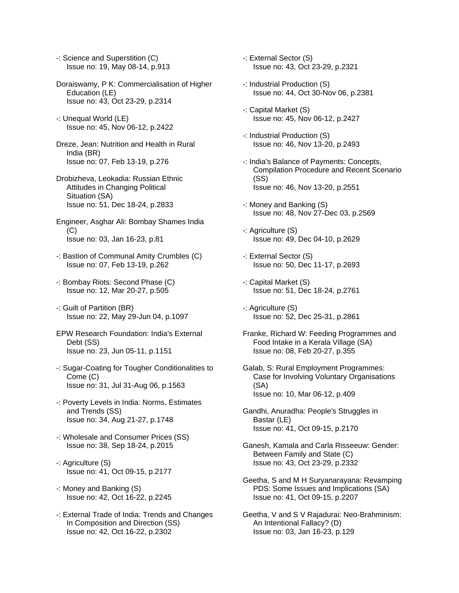- -: Science and Superstition (C) Issue no: 19, May 08-14, p.913
- Doraiswamy, P K: Commercialisation of Higher Education (LE) Issue no: 43, Oct 23-29, p.2314
- -: Unequal World (LE) Issue no: 45, Nov 06-12, p.2422
- Dreze, Jean: Nutrition and Health in Rural India (BR) Issue no: 07, Feb 13-19, p.276
- Drobizheva, Leokadia: Russian Ethnic Attitudes in Changing Political Situation (SA) Issue no: 51, Dec 18-24, p.2833
- Engineer, Asghar Ali: Bombay Shames India (C) Issue no: 03, Jan 16-23, p.81
- -: Bastion of Communal Amity Crumbles (C) Issue no: 07, Feb 13-19, p.262
- -: Bombay Riots: Second Phase (C) Issue no: 12, Mar 20-27, p.505
- -: Guilt of Partition (BR) Issue no: 22, May 29-Jun 04, p.1097
- EPW Research Foundation: India's External Debt (SS) Issue no: 23, Jun 05-11, p.1151
- -: Sugar-Coating for Tougher Conditionalities to Come (C) Issue no: 31, Jul 31-Aug 06, p.1563
- -: Poverty Levels in India: Norms, Estimates and Trends (SS) Issue no: 34, Aug 21-27, p.1748
- -: Wholesale and Consumer Prices (SS) Issue no: 38, Sep 18-24, p.2015
- -: Agriculture (S) Issue no: 41, Oct 09-15, p.2177
- -: Money and Banking (S) Issue no: 42, Oct 16-22, p.2245
- -: External Trade of India: Trends and Changes In Composition and Direction (SS) Issue no: 42, Oct 16-22, p.2302
- -: External Sector (S) Issue no: 43, Oct 23-29, p.2321
- -: Industrial Production (S) Issue no: 44, Oct 30-Nov 06, p.2381
- -: Capital Market (S) Issue no: 45, Nov 06-12, p.2427
- -: Industrial Production (S) Issue no: 46, Nov 13-20, p.2493
- -: India's Balance of Payments: Concepts, Compilation Procedure and Recent Scenario (SS) Issue no: 46, Nov 13-20, p.2551
- -: Money and Banking (S) Issue no: 48, Nov 27-Dec 03, p.2569
- -: Agriculture (S) Issue no: 49, Dec 04-10, p.2629
- -: External Sector (S) Issue no: 50, Dec 11-17, p.2693
- -: Capital Market (S) Issue no: 51, Dec 18-24, p.2761
- -: Agriculture (S) Issue no: 52, Dec 25-31, p.2861
- Franke, Richard W: Feeding Programmes and Food Intake in a Kerala Village (SA) Issue no: 08, Feb 20-27, p.355
- Galab, S: Rural Employment Programmes: Case for Involving Voluntary Organisations (SA) Issue no: 10, Mar 06-12, p.409
- Gandhi, Anuradha: People's Struggles in Bastar (LE) Issue no: 41, Oct 09-15, p.2170
- Ganesh, Kamala and Carla Risseeuw: Gender: Between Family and State (C) Issue no: 43, Oct 23-29, p.2332
- Geetha, S and M H Suryanarayana: Revamping PDS: Some Issues and Implications (SA) Issue no: 41, Oct 09-15, p.2207
- Geetha, V and S V Rajadurai: Neo-Brahminism: An Intentional Fallacy? (D) Issue no: 03, Jan 16-23, p.129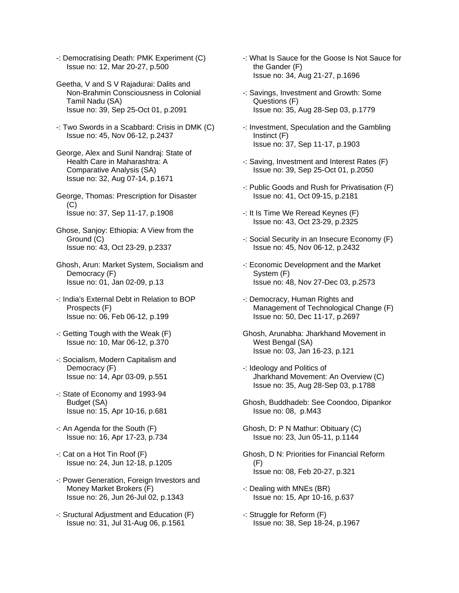-: Democratising Death: PMK Experiment (C) Issue no: 12, Mar 20-27, p.500

- Geetha, V and S V Rajadurai: Dalits and Non-Brahmin Consciousness in Colonial Tamil Nadu (SA) Issue no: 39, Sep 25-Oct 01, p.2091
- -: Two Swords in a Scabbard: Crisis in DMK (C) Issue no: 45, Nov 06-12, p.2437
- George, Alex and Sunil Nandraj: State of Health Care in Maharashtra: A Comparative Analysis (SA) Issue no: 32, Aug 07-14, p.1671
- George, Thomas: Prescription for Disaster (C) Issue no: 37, Sep 11-17, p.1908
- Ghose, Sanjoy: Ethiopia: A View from the Ground (C) Issue no: 43, Oct 23-29, p.2337
- Ghosh, Arun: Market System, Socialism and Democracy (F) Issue no: 01, Jan 02-09, p.13
- -: India's External Debt in Relation to BOP Prospects (F) Issue no: 06, Feb 06-12, p.199
- -: Getting Tough with the Weak (F) Issue no: 10, Mar 06-12, p.370
- -: Socialism, Modern Capitalism and Democracy (F) Issue no: 14, Apr 03-09, p.551
- -: State of Economy and 1993-94 Budget (SA) Issue no: 15, Apr 10-16, p.681
- -: An Agenda for the South (F) Issue no: 16, Apr 17-23, p.734
- -: Cat on a Hot Tin Roof (F) Issue no: 24, Jun 12-18, p.1205
- -: Power Generation, Foreign Investors and Money Market Brokers (F) Issue no: 26, Jun 26-Jul 02, p.1343
- -: Sructural Adjustment and Education (F) Issue no: 31, Jul 31-Aug 06, p.1561
- -: What Is Sauce for the Goose Is Not Sauce for the Gander (F) Issue no: 34, Aug 21-27, p.1696
- -: Savings, Investment and Growth: Some Questions (F) Issue no: 35, Aug 28-Sep 03, p.1779
- -: Investment, Speculation and the Gambling Instinct (F) Issue no: 37, Sep 11-17, p.1903
- -: Saving, Investment and Interest Rates (F) Issue no: 39, Sep 25-Oct 01, p.2050
- -: Public Goods and Rush for Privatisation (F) Issue no: 41, Oct 09-15, p.2181
- -: It Is Time We Reread Keynes (F) Issue no: 43, Oct 23-29, p.2325
- -: Social Security in an Insecure Economy (F) Issue no: 45, Nov 06-12, p.2432
- -: Economic Development and the Market System (F) Issue no: 48, Nov 27-Dec 03, p.2573
- -: Democracy, Human Rights and Management of Technological Change (F) Issue no: 50, Dec 11-17, p.2697
- Ghosh, Arunabha: Jharkhand Movement in West Bengal (SA) Issue no: 03, Jan 16-23, p.121
- -: Ideology and Politics of Jharkhand Movement: An Overview (C) Issue no: 35, Aug 28-Sep 03, p.1788
- Ghosh, Buddhadeb: See Coondoo, Dipankor Issue no: 08, p.M43
- Ghosh, D: P N Mathur: Obituary (C) Issue no: 23, Jun 05-11, p.1144
- Ghosh, D N: Priorities for Financial Reform (F) Issue no: 08, Feb 20-27, p.321
- -: Dealing with MNEs (BR) Issue no: 15, Apr 10-16, p.637
- -: Struggle for Reform (F) Issue no: 38, Sep 18-24, p.1967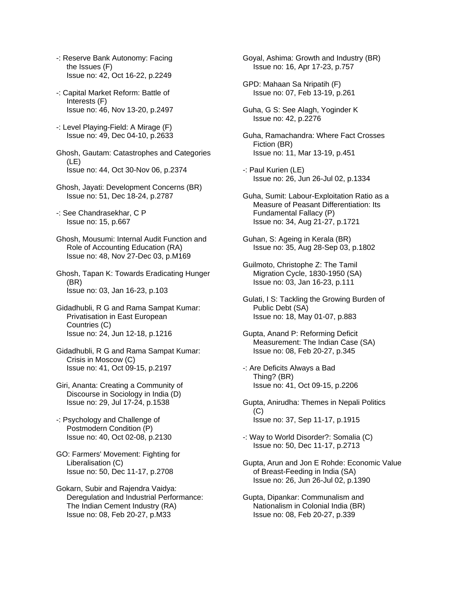- -: Reserve Bank Autonomy: Facing the Issues (F) Issue no: 42, Oct 16-22, p.2249
- -: Capital Market Reform: Battle of Interests (F) Issue no: 46, Nov 13-20, p.2497
- -: Level Playing-Field: A Mirage (F) Issue no: 49, Dec 04-10, p.2633
- Ghosh, Gautam: Catastrophes and Categories (LE) Issue no: 44, Oct 30-Nov 06, p.2374
- Ghosh, Jayati: Development Concerns (BR) Issue no: 51, Dec 18-24, p.2787
- -: See Chandrasekhar, C P Issue no: 15, p.667
- Ghosh, Mousumi: Internal Audit Function and Role of Accounting Education (RA) Issue no: 48, Nov 27-Dec 03, p.M169
- Ghosh, Tapan K: Towards Eradicating Hunger (BR) Issue no: 03, Jan 16-23, p.103
- Gidadhubli, R G and Rama Sampat Kumar: Privatisation in East European Countries (C) Issue no: 24, Jun 12-18, p.1216
- Gidadhubli, R G and Rama Sampat Kumar: Crisis in Moscow (C) Issue no: 41, Oct 09-15, p.2197
- Giri, Ananta: Creating a Community of Discourse in Sociology in India (D) Issue no: 29, Jul 17-24, p.1538
- -: Psychology and Challenge of Postmodern Condition (P) Issue no: 40, Oct 02-08, p.2130
- GO: Farmers' Movement: Fighting for Liberalisation (C) Issue no: 50, Dec 11-17, p.2708
- Gokarn, Subir and Rajendra Vaidya: Deregulation and Industrial Performance: The Indian Cement Industry (RA) Issue no: 08, Feb 20-27, p.M33
- Goyal, Ashima: Growth and Industry (BR) Issue no: 16, Apr 17-23, p.757
- GPD: Mahaan Sa Nripatih (F) Issue no: 07, Feb 13-19, p.261
- Guha, G S: See Alagh, Yoginder K Issue no: 42, p.2276
- Guha, Ramachandra: Where Fact Crosses Fiction (BR) Issue no: 11, Mar 13-19, p.451
- -: Paul Kurien (LE) Issue no: 26, Jun 26-Jul 02, p.1334
- Guha, Sumit: Labour-Exploitation Ratio as a Measure of Peasant Differentiation: Its Fundamental Fallacy (P) Issue no: 34, Aug 21-27, p.1721
- Guhan, S: Ageing in Kerala (BR) Issue no: 35, Aug 28-Sep 03, p.1802
- Guilmoto, Christophe Z: The Tamil Migration Cycle, 1830-1950 (SA) Issue no: 03, Jan 16-23, p.111
- Gulati, I S: Tackling the Growing Burden of Public Debt (SA) Issue no: 18, May 01-07, p.883
- Gupta, Anand P: Reforming Deficit Measurement: The Indian Case (SA) Issue no: 08, Feb 20-27, p.345
- -: Are Deficits Always a Bad Thing? (BR) Issue no: 41, Oct 09-15, p.2206
- Gupta, Anirudha: Themes in Nepali Politics  $(C)$ Issue no: 37, Sep 11-17, p.1915
- -: Way to World Disorder?: Somalia (C) Issue no: 50, Dec 11-17, p.2713
- Gupta, Arun and Jon E Rohde: Economic Value of Breast-Feeding in India (SA) Issue no: 26, Jun 26-Jul 02, p.1390
- Gupta, Dipankar: Communalism and Nationalism in Colonial India (BR) Issue no: 08, Feb 20-27, p.339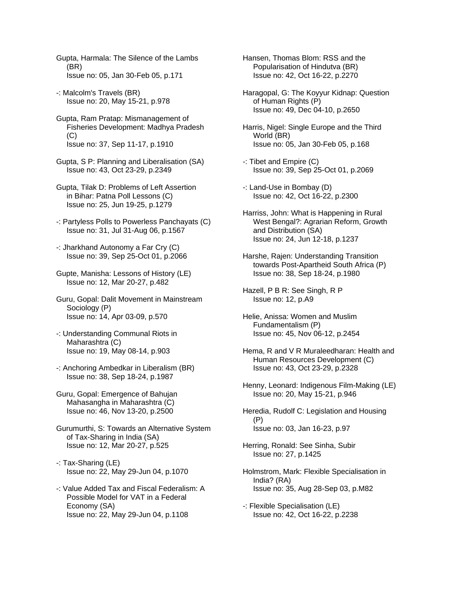Gupta, Harmala: The Silence of the Lambs (BR) Issue no: 05, Jan 30-Feb 05, p.171

-: Malcolm's Travels (BR) Issue no: 20, May 15-21, p.978

Gupta, Ram Pratap: Mismanagement of Fisheries Development: Madhya Pradesh  $(C)$ Issue no: 37, Sep 11-17, p.1910

Gupta, S P: Planning and Liberalisation (SA) Issue no: 43, Oct 23-29, p.2349

Gupta, Tilak D: Problems of Left Assertion in Bihar: Patna Poll Lessons (C) Issue no: 25, Jun 19-25, p.1279

-: Partyless Polls to Powerless Panchayats (C) Issue no: 31, Jul 31-Aug 06, p.1567

-: Jharkhand Autonomy a Far Cry (C) Issue no: 39, Sep 25-Oct 01, p.2066

Gupte, Manisha: Lessons of History (LE) Issue no: 12, Mar 20-27, p.482

Guru, Gopal: Dalit Movement in Mainstream Sociology (P) Issue no: 14, Apr 03-09, p.570

-: Understanding Communal Riots in Maharashtra (C) Issue no: 19, May 08-14, p.903

-: Anchoring Ambedkar in Liberalism (BR) Issue no: 38, Sep 18-24, p.1987

Guru, Gopal: Emergence of Bahujan Mahasangha in Maharashtra (C) Issue no: 46, Nov 13-20, p.2500

Gurumurthi, S: Towards an Alternative System of Tax-Sharing in India (SA) Issue no: 12, Mar 20-27, p.525

-: Tax-Sharing (LE) Issue no: 22, May 29-Jun 04, p.1070

-: Value Added Tax and Fiscal Federalism: A Possible Model for VAT in a Federal Economy (SA) Issue no: 22, May 29-Jun 04, p.1108

Hansen, Thomas Blom: RSS and the Popularisation of Hindutva (BR) Issue no: 42, Oct 16-22, p.2270

Haragopal, G: The Koyyur Kidnap: Question of Human Rights (P) Issue no: 49, Dec 04-10, p.2650

Harris, Nigel: Single Europe and the Third World (BR) Issue no: 05, Jan 30-Feb 05, p.168

-: Tibet and Empire (C) Issue no: 39, Sep 25-Oct 01, p.2069

-: Land-Use in Bombay (D) Issue no: 42, Oct 16-22, p.2300

Harriss, John: What is Happening in Rural West Bengal?: Agrarian Reform, Growth and Distribution (SA) Issue no: 24, Jun 12-18, p.1237

Harshe, Rajen: Understanding Transition towards Post-Apartheid South Africa (P) Issue no: 38, Sep 18-24, p.1980

Hazell, P B R: See Singh, R P Issue no: 12, p.A9

Helie, Anissa: Women and Muslim Fundamentalism (P) Issue no: 45, Nov 06-12, p.2454

Hema, R and V R Muraleedharan: Health and Human Resources Development (C) Issue no: 43, Oct 23-29, p.2328

Henny, Leonard: Indigenous Film-Making (LE) Issue no: 20, May 15-21, p.946

Heredia, Rudolf C: Legislation and Housing (P) Issue no: 03, Jan 16-23, p.97

Herring, Ronald: See Sinha, Subir Issue no: 27, p.1425

Holmstrom, Mark: Flexible Specialisation in India? (RA) Issue no: 35, Aug 28-Sep 03, p.M82

-: Flexible Specialisation (LE) Issue no: 42, Oct 16-22, p.2238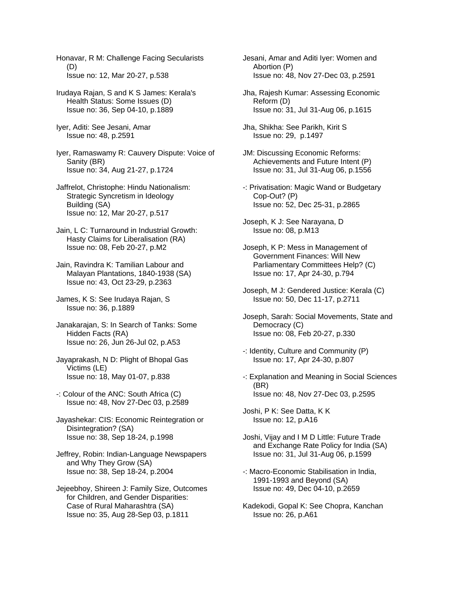Honavar, R M: Challenge Facing Secularists (D) Issue no: 12, Mar 20-27, p.538

- Irudaya Rajan, S and K S James: Kerala's Health Status: Some Issues (D) Issue no: 36, Sep 04-10, p.1889
- Iyer, Aditi: See Jesani, Amar Issue no: 48, p.2591

Iyer, Ramaswamy R: Cauvery Dispute: Voice of Sanity (BR) Issue no: 34, Aug 21-27, p.1724

- Jaffrelot, Christophe: Hindu Nationalism: Strategic Syncretism in Ideology Building (SA) Issue no: 12, Mar 20-27, p.517
- Jain, L C: Turnaround in Industrial Growth: Hasty Claims for Liberalisation (RA) Issue no: 08, Feb 20-27, p.M2
- Jain, Ravindra K: Tamilian Labour and Malayan Plantations, 1840-1938 (SA) Issue no: 43, Oct 23-29, p.2363
- James, K S: See Irudaya Rajan, S Issue no: 36, p.1889
- Janakarajan, S: In Search of Tanks: Some Hidden Facts (RA) Issue no: 26, Jun 26-Jul 02, p.A53
- Jayaprakash, N D: Plight of Bhopal Gas Victims (LE) Issue no: 18, May 01-07, p.838
- -: Colour of the ANC: South Africa (C) Issue no: 48, Nov 27-Dec 03, p.2589
- Jayashekar: CIS: Economic Reintegration or Disintegration? (SA) Issue no: 38, Sep 18-24, p.1998
- Jeffrey, Robin: Indian-Language Newspapers and Why They Grow (SA) Issue no: 38, Sep 18-24, p.2004
- Jejeebhoy, Shireen J: Family Size, Outcomes for Children, and Gender Disparities: Case of Rural Maharashtra (SA) Issue no: 35, Aug 28-Sep 03, p.1811
- Jesani, Amar and Aditi Iyer: Women and Abortion (P) Issue no: 48, Nov 27-Dec 03, p.2591
- Jha, Rajesh Kumar: Assessing Economic Reform (D) Issue no: 31, Jul 31-Aug 06, p.1615
- Jha, Shikha: See Parikh, Kirit S Issue no: 29, p.1497
- JM: Discussing Economic Reforms: Achievements and Future Intent (P) Issue no: 31, Jul 31-Aug 06, p.1556
- -: Privatisation: Magic Wand or Budgetary Cop-Out? (P) Issue no: 52, Dec 25-31, p.2865
- Joseph, K J: See Narayana, D Issue no: 08, p.M13
- Joseph, K P: Mess in Management of Government Finances: Will New Parliamentary Committees Help? (C) Issue no: 17, Apr 24-30, p.794
- Joseph, M J: Gendered Justice: Kerala (C) Issue no: 50, Dec 11-17, p.2711
- Joseph, Sarah: Social Movements, State and Democracy (C) Issue no: 08, Feb 20-27, p.330
- -: Identity, Culture and Community (P) Issue no: 17, Apr 24-30, p.807
- -: Explanation and Meaning in Social Sciences (BR) Issue no: 48, Nov 27-Dec 03, p.2595
- Joshi, P K: See Datta, K K Issue no: 12, p.A16
- Joshi, Vijay and I M D Little: Future Trade and Exchange Rate Policy for India (SA) Issue no: 31, Jul 31-Aug 06, p.1599
- -: Macro-Economic Stabilisation in India, 1991-1993 and Beyond (SA) Issue no: 49, Dec 04-10, p.2659
- Kadekodi, Gopal K: See Chopra, Kanchan Issue no: 26, p.A61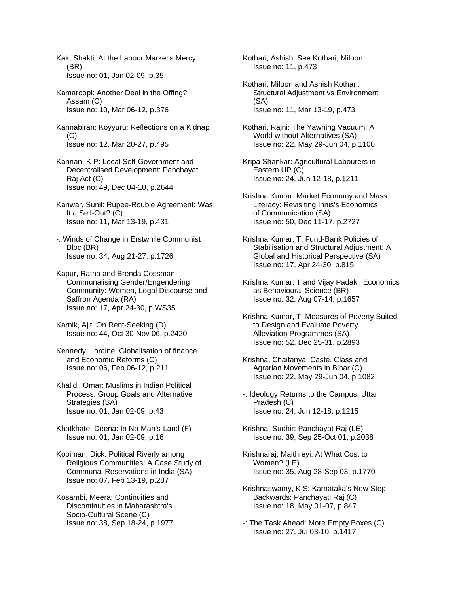Kak, Shakti: At the Labour Market's Mercy (BR) Issue no: 01, Jan 02-09, p.35

Kamaroopi: Another Deal in the Offing?: Assam (C) Issue no: 10, Mar 06-12, p.376

Kannabiran: Koyyuru: Reflections on a Kidnap  $(C)$ Issue no: 12, Mar 20-27, p.495

Kannan, K P: Local Self-Government and Decentralised Development: Panchayat Raj Act (C) Issue no: 49, Dec 04-10, p.2644

Kanwar, Sunil: Rupee-Rouble Agreement: Was It a Sell-Out? (C) Issue no: 11, Mar 13-19, p.431

-: Winds of Change in Erstwhile Communist Bloc (BR) Issue no: 34, Aug 21-27, p.1726

Kapur, Ratna and Brenda Cossman: Communalising Gender/Engendering Community: Women, Legal Discourse and Saffron Agenda (RA) Issue no: 17, Apr 24-30, p.WS35

Karnik, Ajit: On Rent-Seeking (D) Issue no: 44, Oct 30-Nov 06, p.2420

Kennedy, Loraine: Globalisation of finance and Economic Reforms (C) Issue no: 06, Feb 06-12, p.211

Khalidi, Omar: Muslims in Indian Political Process: Group Goals and Alternative Strategies (SA) Issue no: 01, Jan 02-09, p.43

Khatkhate, Deena: In No-Man's-Land (F) Issue no: 01, Jan 02-09, p.16

Kooiman, Dick: Political Riverly among Religious Communities: A Case Study of Communal Reservations in India (SA) Issue no: 07, Feb 13-19, p.287

Kosambi, Meera: Continuities and Discontinuities in Maharashtra's Socio-Cultural Scene (C) Issue no: 38, Sep 18-24, p.1977 Kothari, Ashish: See Kothari, Miloon Issue no: 11, p.473

Kothari, Miloon and Ashish Kothari: Structural Adjustment vs Environment (SA) Issue no: 11, Mar 13-19, p.473

Kothari, Rajni: The Yawning Vacuum: A World without Alternatives (SA) Issue no: 22, May 29-Jun 04, p.1100

Kripa Shankar: Agricultural Labourers in Eastern UP (C) Issue no: 24, Jun 12-18, p.1211

Krishna Kumar: Market Economy and Mass Literacy: Revisiting Innis's Economics of Communication (SA) Issue no: 50, Dec 11-17, p.2727

Krishna Kumar, T: Fund-Bank Policies of Stabilisation and Structural Adjustment: A Global and Historical Perspective (SA) Issue no: 17, Apr 24-30, p.815

Krishna Kumar, T and Vijay Padaki: Economics as Behavioural Science (BR) Issue no: 32, Aug 07-14, p.1657

Krishna Kumar, T: Measures of Poverty Suited to Design and Evaluate Poverty Alleviation Programmes (SA) Issue no: 52, Dec 25-31, p.2893

Krishna, Chaitanya: Caste, Class and Agrarian Movements in Bihar (C) Issue no: 22, May 29-Jun 04, p.1082

-: Ideology Returns to the Campus: Uttar Pradesh (C) Issue no: 24, Jun 12-18, p.1215

Krishna, Sudhir: Panchayat Raj (LE) Issue no: 39, Sep 25-Oct 01, p.2038

Krishnaraj, Maithreyi: At What Cost to Women? (LE) Issue no: 35, Aug 28-Sep 03, p.1770

Krishnaswamy, K S: Karnataka's New Step Backwards: Panchayati Raj (C) Issue no: 18, May 01-07, p.847

-: The Task Ahead: More Empty Boxes (C) Issue no: 27, Jul 03-10, p.1417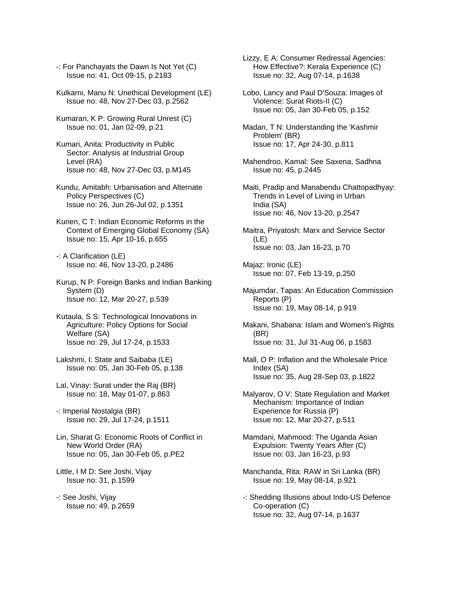-: For Panchayats the Dawn Is Not Yet (C) Issue no: 41, Oct 09-15, p.2183

Kulkarni, Manu N: Unethical Development (LE) Issue no: 48, Nov 27-Dec 03, p.2562

Kumaran, K P: Growing Rural Unrest (C) Issue no: 01, Jan 02-09, p.21

Kumari, Anita: Productivity in Public Sector: Analysis at Industrial Group Level (RA) Issue no: 48, Nov 27-Dec 03, p.M145

Kundu, Amitabh: Urbanisation and Alternate Policy Perspectives (C) Issue no: 26, Jun 26-Jul 02, p.1351

Kurien, C T: Indian Economic Reforms in the Context of Emerging Global Economy (SA) Issue no: 15, Apr 10-16, p.655

-: A Clarification (LE) Issue no: 46, Nov 13-20, p.2486

Kurup, N P: Foreign Banks and Indian Banking System (D) Issue no: 12, Mar 20-27, p.539

Kutaula, S S: Technological Innovations in Agriculture: Policy Options for Social Welfare (SA) Issue no: 29, Jul 17-24, p.1533

Lakshmi, I: State and Saibaba (LE) Issue no: 05, Jan 30-Feb 05, p.138

Lal, Vinay: Surat under the Raj (BR) Issue no: 18, May 01-07, p.863

-: Imperial Nostalgia (BR) Issue no: 29, Jul 17-24, p.1511

Lin, Sharat G: Economic Roots of Conflict in New World Order (RA) Issue no: 05, Jan 30-Feb 05, p.PE2

Little, I M D: See Joshi, Vijay Issue no: 31, p.1599

-: See Joshi, Vijay Issue no: 49, p.2659 Lizzy, E A: Consumer Redressal Agencies: How Effective?: Kerala Experience (C) Issue no: 32, Aug 07-14, p.1638

Lobo, Lancy and Paul D'Souza: Images of Violence: Surat Riots-II (C) Issue no: 05, Jan 30-Feb 05, p.152

Madan, T N: Understanding the 'Kashmir Problem' (BR) Issue no: 17, Apr 24-30, p.811

Mahendroo, Kamal: See Saxena, Sadhna Issue no: 45, p.2445

Maiti, Pradip and Manabendu Chattopadhyay: Trends in Level of Living in Urban India (SA) Issue no: 46, Nov 13-20, p.2547

Maitra, Priyatosh: Marx and Service Sector (LE) Issue no: 03, Jan 16-23, p.70

Majaz: Ironic (LE) Issue no: 07, Feb 13-19, p.250

Majumdar, Tapas: An Education Commission Reports (P) Issue no: 19, May 08-14, p.919

Makani, Shabana: Islam and Women's Rights (BR) Issue no: 31, Jul 31-Aug 06, p.1583

Mall, O P: Inflation and the Wholesale Price Index (SA) Issue no: 35, Aug 28-Sep 03, p.1822

Malyarov, O V: State Regulation and Market Mechanism: Importance of Indian Experience for Russia (P) Issue no: 12, Mar 20-27, p.511

Mamdani, Mahmood: The Uganda Asian Expulsion: Twenty Years After (C) Issue no: 03, Jan 16-23, p.93

Manchanda, Rita: RAW in Sri Lanka (BR) Issue no: 19, May 08-14, p.921

-: Shedding Illusions about Indo-US Defence Co-operation (C) Issue no: 32, Aug 07-14, p.1637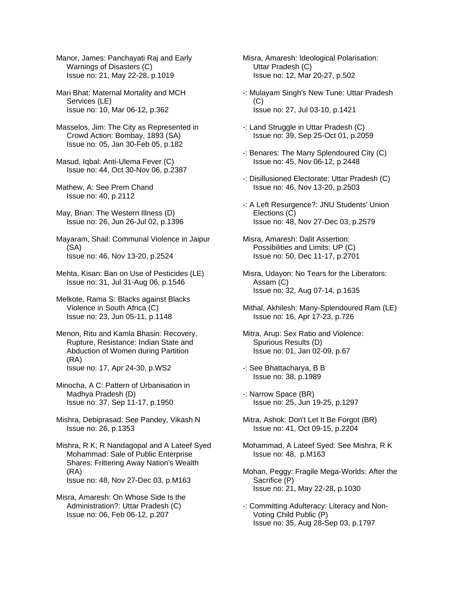Manor, James: Panchayati Raj and Early Warnings of Disasters (C) Issue no: 21, May 22-28, p.1019

Mari Bhat: Maternal Mortality and MCH Services (LE) Issue no: 10, Mar 06-12, p.362

Masselos, Jim: The City as Represented in Crowd Action: Bombay, 1893 (SA) Issue no: 05, Jan 30-Feb 05, p.182

Masud, Iqbal: Anti-Ulema Fever (C) Issue no: 44, Oct 30-Nov 06, p.2387

Mathew, A: See Prem Chand Issue no: 40, p.2112

May, Brian: The Western Illness (D) Issue no: 26, Jun 26-Jul 02, p.1396

Mayaram, Shail: Communal Violence in Jaipur (SA) Issue no: 46, Nov 13-20, p.2524

Mehta, Kisan: Ban on Use of Pesticides (LE) Issue no: 31, Jul 31-Aug 06, p.1546

Melkote, Rama S: Blacks against Blacks Violence in South Africa (C) Issue no: 23, Jun 05-11, p.1148

Menon, Ritu and Kamla Bhasin: Recovery, Rupture, Resistance: Indian State and Abduction of Women during Partition (RA) Issue no: 17, Apr 24-30, p.WS2

Minocha, A C: Pattern of Urbanisation in Madhya Pradesh (D) Issue no: 37, Sep 11-17, p.1950

Mishra, Debiprasad: See Pandey, Vikash N Issue no: 26, p.1353

Mishra, R K; R Nandagopal and A Lateef Syed Mohammad: Sale of Public Enterprise Shares: Frittering Away Nation's Wealth (RA) Issue no: 48, Nov 27-Dec 03, p.M163

Misra, Amaresh: On Whose Side Is the Administration?: Uttar Pradesh (C) Issue no: 06, Feb 06-12, p.207

Misra, Amaresh: Ideological Polarisation: Uttar Pradesh (C) Issue no: 12, Mar 20-27, p.502

-: Mulayam Singh's New Tune: Uttar Pradesh (C) Issue no: 27, Jul 03-10, p.1421

-: Land Struggle in Uttar Pradesh (C) Issue no: 39, Sep 25-Oct 01, p.2059

- -: Benares: The Many Splendoured City (C) Issue no: 45, Nov 06-12, p.2448
- -: Disillusioned Electorate: Uttar Pradesh (C) Issue no: 46, Nov 13-20, p.2503
- -: A Left Resurgence?: JNU Students' Union Elections (C) Issue no: 48, Nov 27-Dec 03, p.2579

Misra, Amaresh: Dalit Assertion: Possibilities and Limits: UP (C) Issue no: 50, Dec 11-17, p.2701

Misra, Udayon: No Tears for the Liberators: Assam (C) Issue no: 32, Aug 07-14, p.1635

- Mithal, Akhilesh: Many-Splendoured Ram (LE) Issue no: 16, Apr 17-23, p.726
- Mitra, Arup: Sex Ratio and Violence: Spurious Results (D) Issue no: 01, Jan 02-09, p.67
- -: See Bhattacharya, B B Issue no: 38, p.1989

-: Narrow Space (BR) Issue no: 25, Jun 19-25, p.1297

Mitra, Ashok: Don't Let It Be Forgot (BR) Issue no: 41, Oct 09-15, p.2204

Mohammad, A Lateef Syed: See Mishra, R K Issue no: 48, p.M163

Mohan, Peggy: Fragile Mega-Worlds: After the Sacrifice (P) Issue no: 21, May 22-28, p.1030

-: Committing Adulteracy: Literacy and Non- Voting Child Public (P) Issue no: 35, Aug 28-Sep 03, p.1797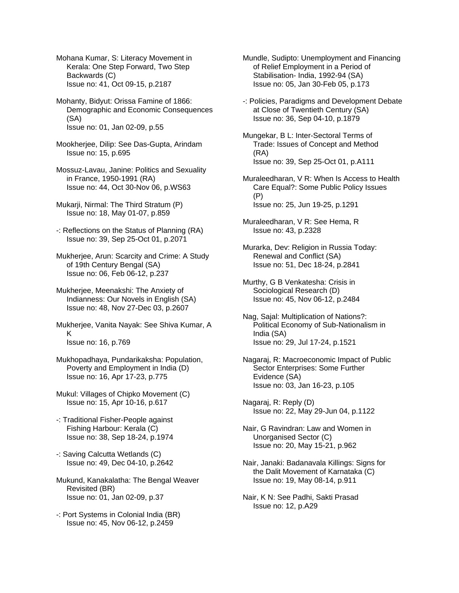Mohana Kumar, S: Literacy Movement in Kerala: One Step Forward, Two Step Backwards (C) Issue no: 41, Oct 09-15, p.2187

- Mohanty, Bidyut: Orissa Famine of 1866: Demographic and Economic Consequences (SA) Issue no: 01, Jan 02-09, p.55
- Mookherjee, Dilip: See Das-Gupta, Arindam Issue no: 15, p.695
- Mossuz-Lavau, Janine: Politics and Sexuality in France, 1950-1991 (RA) Issue no: 44, Oct 30-Nov 06, p.WS63
- Mukarji, Nirmal: The Third Stratum (P) Issue no: 18, May 01-07, p.859
- -: Reflections on the Status of Planning (RA) Issue no: 39, Sep 25-Oct 01, p.2071
- Mukherjee, Arun: Scarcity and Crime: A Study of 19th Century Bengal (SA) Issue no: 06, Feb 06-12, p.237
- Mukherjee, Meenakshi: The Anxiety of Indianness: Our Novels in English (SA) Issue no: 48, Nov 27-Dec 03, p.2607
- Mukherjee, Vanita Nayak: See Shiva Kumar, A K Issue no: 16, p.769
- Mukhopadhaya, Pundarikaksha: Population, Poverty and Employment in India (D) Issue no: 16, Apr 17-23, p.775
- Mukul: Villages of Chipko Movement (C) Issue no: 15, Apr 10-16, p.617
- -: Traditional Fisher-People against Fishing Harbour: Kerala (C) Issue no: 38, Sep 18-24, p.1974
- -: Saving Calcutta Wetlands (C) Issue no: 49, Dec 04-10, p.2642
- Mukund, Kanakalatha: The Bengal Weaver Revisited (BR) Issue no: 01, Jan 02-09, p.37
- -: Port Systems in Colonial India (BR) Issue no: 45, Nov 06-12, p.2459

Mundle, Sudipto: Unemployment and Financing of Relief Employment in a Period of Stabilisation- India, 1992-94 (SA) Issue no: 05, Jan 30-Feb 05, p.173

- -: Policies, Paradigms and Development Debate at Close of Twentieth Century (SA) Issue no: 36, Sep 04-10, p.1879
- Mungekar, B L: Inter-Sectoral Terms of Trade: Issues of Concept and Method (RA) Issue no: 39, Sep 25-Oct 01, p.A111
- Muraleedharan, V R: When Is Access to Health Care Equal?: Some Public Policy Issues (P) Issue no: 25, Jun 19-25, p.1291
- Muraleedharan, V R: See Hema, R Issue no: 43, p.2328
- Murarka, Dev: Religion in Russia Today: Renewal and Conflict (SA) Issue no: 51, Dec 18-24, p.2841
- Murthy, G B Venkatesha: Crisis in Sociological Research (D) Issue no: 45, Nov 06-12, p.2484
- Nag, Sajal: Multiplication of Nations?: Political Economy of Sub-Nationalism in India (SA) Issue no: 29, Jul 17-24, p.1521
- Nagaraj, R: Macroeconomic Impact of Public Sector Enterprises: Some Further Evidence (SA) Issue no: 03, Jan 16-23, p.105
- Nagaraj, R: Reply (D) Issue no: 22, May 29-Jun 04, p.1122
- Nair, G Ravindran: Law and Women in Unorganised Sector (C) Issue no: 20, May 15-21, p.962
- Nair, Janaki: Badanavala Killings: Signs for the Dalit Movement of Karnataka (C) Issue no: 19, May 08-14, p.911
- Nair, K N: See Padhi, Sakti Prasad Issue no: 12, p.A29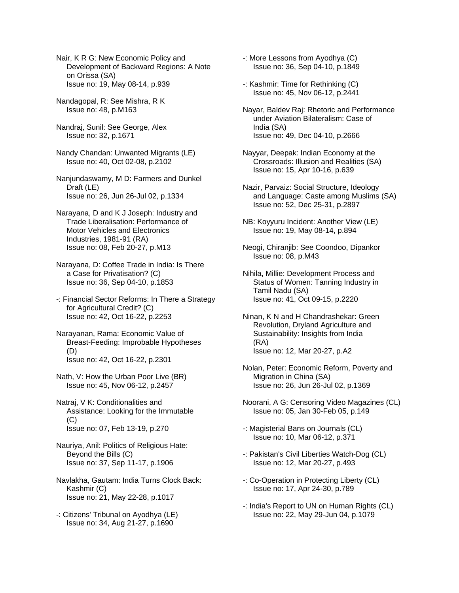Nair, K R G: New Economic Policy and Development of Backward Regions: A Note on Orissa (SA) Issue no: 19, May 08-14, p.939

- Nandagopal, R: See Mishra, R K Issue no: 48, p.M163
- Nandraj, Sunil: See George, Alex Issue no: 32, p.1671
- Nandy Chandan: Unwanted Migrants (LE) Issue no: 40, Oct 02-08, p.2102
- Nanjundaswamy, M D: Farmers and Dunkel Draft (LE) Issue no: 26, Jun 26-Jul 02, p.1334
- Narayana, D and K J Joseph: Industry and Trade Liberalisation: Performance of Motor Vehicles and Electronics Industries, 1981-91 (RA) Issue no: 08, Feb 20-27, p.M13
- Narayana, D: Coffee Trade in India: Is There a Case for Privatisation? (C) Issue no: 36, Sep 04-10, p.1853
- -: Financial Sector Reforms: In There a Strategy for Agricultural Credit? (C) Issue no: 42, Oct 16-22, p.2253
- Narayanan, Rama: Economic Value of Breast-Feeding: Improbable Hypotheses (D) Issue no: 42, Oct 16-22, p.2301
- Nath, V: How the Urban Poor Live (BR) Issue no: 45, Nov 06-12, p.2457
- Natraj, V K: Conditionalities and Assistance: Looking for the Immutable (C) Issue no: 07, Feb 13-19, p.270
- Nauriya, Anil: Politics of Religious Hate: Beyond the Bills (C) Issue no: 37, Sep 11-17, p.1906
- Navlakha, Gautam: India Turns Clock Back: Kashmir (C) Issue no: 21, May 22-28, p.1017
- -: Citizens' Tribunal on Ayodhya (LE) Issue no: 34, Aug 21-27, p.1690
- -: More Lessons from Ayodhya (C) Issue no: 36, Sep 04-10, p.1849
- -: Kashmir: Time for Rethinking (C) Issue no: 45, Nov 06-12, p.2441
- Nayar, Baldev Raj: Rhetoric and Performance under Aviation Bilateralism: Case of India (SA) Issue no: 49, Dec 04-10, p.2666
- Nayyar, Deepak: Indian Economy at the Crossroads: Illusion and Realities (SA) Issue no: 15, Apr 10-16, p.639
- Nazir, Parvaiz: Social Structure, Ideology and Language: Caste among Muslims (SA) Issue no: 52, Dec 25-31, p.2897
- NB: Koyyuru Incident: Another View (LE) Issue no: 19, May 08-14, p.894
- Neogi, Chiranjib: See Coondoo, Dipankor Issue no: 08, p.M43
- Nihila, Millie: Development Process and Status of Women: Tanning Industry in Tamil Nadu (SA) Issue no: 41, Oct 09-15, p.2220
- Ninan, K N and H Chandrashekar: Green Revolution, Dryland Agriculture and Sustainability: Insights from India (RA) Issue no: 12, Mar 20-27, p.A2
- Nolan, Peter: Economic Reform, Poverty and Migration in China (SA) Issue no: 26, Jun 26-Jul 02, p.1369
- Noorani, A G: Censoring Video Magazines (CL) Issue no: 05, Jan 30-Feb 05, p.149
- -: Magisterial Bans on Journals (CL) Issue no: 10, Mar 06-12, p.371
- -: Pakistan's Civil Liberties Watch-Dog (CL) Issue no: 12, Mar 20-27, p.493
- -: Co-Operation in Protecting Liberty (CL) Issue no: 17, Apr 24-30, p.789
- -: India's Report to UN on Human Rights (CL) Issue no: 22, May 29-Jun 04, p.1079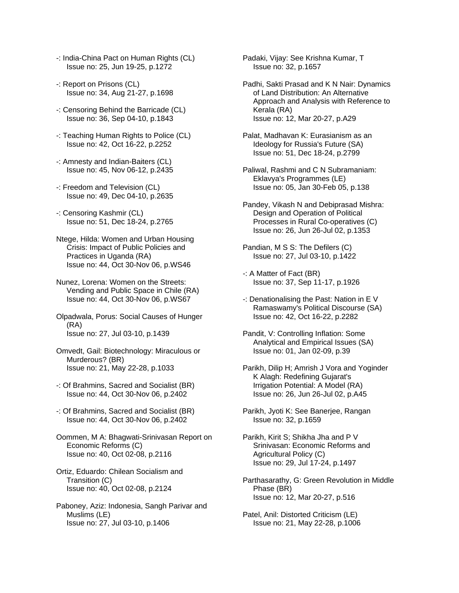- -: India-China Pact on Human Rights (CL) Issue no: 25, Jun 19-25, p.1272
- -: Report on Prisons (CL) Issue no: 34, Aug 21-27, p.1698
- -: Censoring Behind the Barricade (CL) Issue no: 36, Sep 04-10, p.1843
- -: Teaching Human Rights to Police (CL) Issue no: 42, Oct 16-22, p.2252
- -: Amnesty and Indian-Baiters (CL) Issue no: 45, Nov 06-12, p.2435
- -: Freedom and Television (CL) Issue no: 49, Dec 04-10, p.2635
- -: Censoring Kashmir (CL) Issue no: 51, Dec 18-24, p.2765
- Ntege, Hilda: Women and Urban Housing Crisis: Impact of Public Policies and Practices in Uganda (RA) Issue no: 44, Oct 30-Nov 06, p.WS46
- Nunez, Lorena: Women on the Streets: Vending and Public Space in Chile (RA) Issue no: 44, Oct 30-Nov 06, p.WS67
- Olpadwala, Porus: Social Causes of Hunger (RA) Issue no: 27, Jul 03-10, p.1439
- Omvedt, Gail: Biotechnology: Miraculous or Murderous? (BR) Issue no: 21, May 22-28, p.1033
- -: Of Brahmins, Sacred and Socialist (BR) Issue no: 44, Oct 30-Nov 06, p.2402
- -: Of Brahmins, Sacred and Socialist (BR) Issue no: 44, Oct 30-Nov 06, p.2402
- Oommen, M A: Bhagwati-Srinivasan Report on Economic Reforms (C) Issue no: 40, Oct 02-08, p.2116
- Ortiz, Eduardo: Chilean Socialism and Transition (C) Issue no: 40, Oct 02-08, p.2124
- Paboney, Aziz: Indonesia, Sangh Parivar and Muslims (LE) Issue no: 27, Jul 03-10, p.1406

Padaki, Vijay: See Krishna Kumar, T Issue no: 32, p.1657

- Padhi, Sakti Prasad and K N Nair: Dynamics of Land Distribution: An Alternative Approach and Analysis with Reference to Kerala (RA) Issue no: 12, Mar 20-27, p.A29
- Palat, Madhavan K: Eurasianism as an Ideology for Russia's Future (SA) Issue no: 51, Dec 18-24, p.2799
- Paliwal, Rashmi and C N Subramaniam: Eklavya's Programmes (LE) Issue no: 05, Jan 30-Feb 05, p.138
- Pandey, Vikash N and Debiprasad Mishra: Design and Operation of Political Processes in Rural Co-operatives (C) Issue no: 26, Jun 26-Jul 02, p.1353
- Pandian, M S S: The Defilers (C) Issue no: 27, Jul 03-10, p.1422
- -: A Matter of Fact (BR) Issue no: 37, Sep 11-17, p.1926
- -: Denationalising the Past: Nation in E V Ramaswamy's Political Discourse (SA) Issue no: 42, Oct 16-22, p.2282
- Pandit, V: Controlling Inflation: Some Analytical and Empirical Issues (SA) Issue no: 01, Jan 02-09, p.39
- Parikh, Dilip H; Amrish J Vora and Yoginder K Alagh: Redefining Gujarat's Irrigation Potential: A Model (RA) Issue no: 26, Jun 26-Jul 02, p.A45
- Parikh, Jyoti K: See Banerjee, Rangan Issue no: 32, p.1659
- Parikh, Kirit S; Shikha Jha and P V Srinivasan: Economic Reforms and Agricultural Policy (C) Issue no: 29, Jul 17-24, p.1497
- Parthasarathy, G: Green Revolution in Middle Phase (BR) Issue no: 12, Mar 20-27, p.516
- Patel, Anil: Distorted Criticism (LE) Issue no: 21, May 22-28, p.1006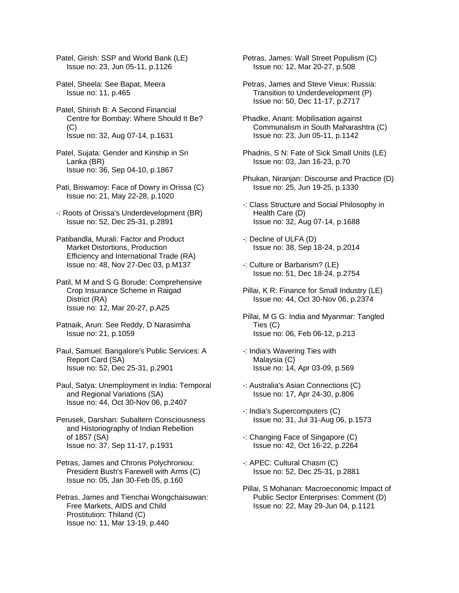Patel, Girish: SSP and World Bank (LE) Issue no: 23, Jun 05-11, p.1126

- Patel, Sheela: See Bapat, Meera Issue no: 11, p.465
- Patel, Shirish B: A Second Financial Centre for Bombay: Where Should It Be? (C) Issue no: 32, Aug 07-14, p.1631
- Patel, Sujata: Gender and Kinship in Sri Lanka (BR) Issue no: 36, Sep 04-10, p.1867
- Pati, Biswamoy: Face of Dowry in Orissa (C) Issue no: 21, May 22-28, p.1020
- -: Roots of Orissa's Underdevelopment (BR) Issue no: 52, Dec 25-31, p.2891
- Patibandla, Murali: Factor and Product Market Distortions, Production Efficiency and International Trade (RA) Issue no: 48, Nov 27-Dec 03, p.M137
- Patil, M M and S G Borude: Comprehensive Crop Insurance Scheme in Raigad District (RA) Issue no: 12, Mar 20-27, p.A25
- Patnaik, Arun: See Reddy, D Narasimha Issue no: 21, p.1059
- Paul, Samuel: Bangalore's Public Services: A Report Card (SA) Issue no: 52, Dec 25-31, p.2901
- Paul, Satya: Unemployment in India: Temporal and Regional Variations (SA) Issue no: 44, Oct 30-Nov 06, p.2407
- Perusek, Darshan: Subaltern Consciousness and Historiography of Indian Rebellion of 1857 (SA) Issue no: 37, Sep 11-17, p.1931
- Petras, James and Chronis Polychroniou: President Bush's Farewell with Arms (C) Issue no: 05, Jan 30-Feb 05, p.160
- Petras, James and Tienchai Wongchaisuwan: Free Markets, AIDS and Child Prostitution: Thiland (C) Issue no: 11, Mar 13-19, p.440

Petras, James: Wall Street Populism (C) Issue no: 12, Mar 20-27, p.508

- Petras, James and Steve Vieux: Russia: Transition to Underdevelopment (P) Issue no: 50, Dec 11-17, p.2717
- Phadke, Anant: Mobilisation against Communalism in South Maharashtra (C) Issue no: 23, Jun 05-11, p.1142
- Phadnis, S N: Fate of Sick Small Units (LE) Issue no: 03, Jan 16-23, p.70
- Phukan, Niranjan: Discourse and Practice (D) Issue no: 25, Jun 19-25, p.1330
- -: Class Structure and Social Philosophy in Health Care (D) Issue no: 32, Aug 07-14, p.1688
- -: Decline of ULFA (D) Issue no: 38, Sep 18-24, p.2014
- -: Culture or Barbarism? (LE) Issue no: 51, Dec 18-24, p.2754
- Pillai, K R: Finance for Small Industry (LE) Issue no: 44, Oct 30-Nov 06, p.2374
- Pillai, M G G: India and Myanmar: Tangled Ties (C) Issue no: 06, Feb 06-12, p.213
- -: India's Wavering Ties with Malaysia (C) Issue no: 14, Apr 03-09, p.569
- -: Australia's Asian Connections (C) Issue no: 17, Apr 24-30, p.806
- -: India's Supercomputers (C) Issue no: 31, Jul 31-Aug 06, p.1573
- -: Changing Face of Singapore (C) Issue no: 42, Oct 16-22, p.2264
- -: APEC: Cultural Chasm (C) Issue no: 52, Dec 25-31, p.2881
- Pillai, S Mohanan: Macroeconomic Impact of Public Sector Enterprises: Comment (D) Issue no: 22, May 29-Jun 04, p.1121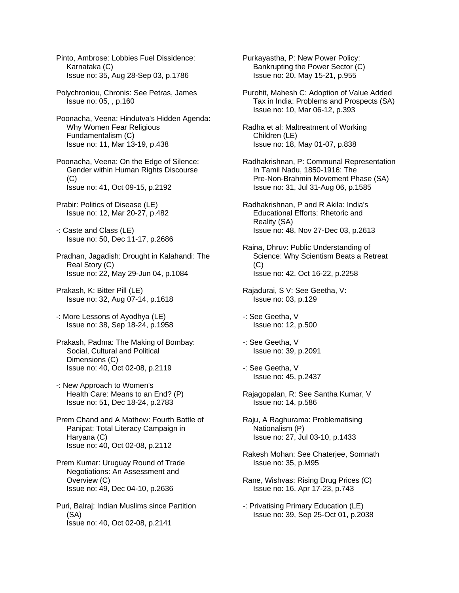Pinto, Ambrose: Lobbies Fuel Dissidence: Karnataka (C) Issue no: 35, Aug 28-Sep 03, p.1786

Polychroniou, Chronis: See Petras, James Issue no: 05, , p.160

Poonacha, Veena: Hindutva's Hidden Agenda: Why Women Fear Religious Fundamentalism (C) Issue no: 11, Mar 13-19, p.438

Poonacha, Veena: On the Edge of Silence: Gender within Human Rights Discourse (C) Issue no: 41, Oct 09-15, p.2192

Prabir: Politics of Disease (LE) Issue no: 12, Mar 20-27, p.482

-: Caste and Class (LE) Issue no: 50, Dec 11-17, p.2686

Pradhan, Jagadish: Drought in Kalahandi: The Real Story (C) Issue no: 22, May 29-Jun 04, p.1084

Prakash, K: Bitter Pill (LE) Issue no: 32, Aug 07-14, p.1618

-: More Lessons of Ayodhya (LE) Issue no: 38, Sep 18-24, p.1958

Prakash, Padma: The Making of Bombay: Social, Cultural and Political Dimensions (C) Issue no: 40, Oct 02-08, p.2119

-: New Approach to Women's Health Care: Means to an End? (P) Issue no: 51, Dec 18-24, p.2783

Prem Chand and A Mathew: Fourth Battle of Panipat: Total Literacy Campaign in Haryana (C) Issue no: 40, Oct 02-08, p.2112

Prem Kumar: Uruguay Round of Trade Negotiations: An Assessment and Overview (C) Issue no: 49, Dec 04-10, p.2636

Puri, Balraj: Indian Muslims since Partition (SA) Issue no: 40, Oct 02-08, p.2141

Purkayastha, P: New Power Policy: Bankrupting the Power Sector (C) Issue no: 20, May 15-21, p.955

Purohit, Mahesh C: Adoption of Value Added Tax in India: Problems and Prospects (SA) Issue no: 10, Mar 06-12, p.393

Radha et al: Maltreatment of Working Children (LE) Issue no: 18, May 01-07, p.838

Radhakrishnan, P: Communal Representation In Tamil Nadu, 1850-1916: The Pre-Non-Brahmin Movement Phase (SA) Issue no: 31, Jul 31-Aug 06, p.1585

Radhakrishnan, P and R Akila: India's Educational Efforts: Rhetoric and Reality (SA) Issue no: 48, Nov 27-Dec 03, p.2613

Raina, Dhruv: Public Understanding of Science: Why Scientism Beats a Retreat  $(C)$ Issue no: 42, Oct 16-22, p.2258

Rajadurai, S V: See Geetha, V: Issue no: 03, p.129

-: See Geetha, V Issue no: 12, p.500

-: See Geetha, V Issue no: 39, p.2091

-: See Geetha, V Issue no: 45, p.2437

Rajagopalan, R: See Santha Kumar, V Issue no: 14, p.586

Raju, A Raghurama: Problematising Nationalism (P) Issue no: 27, Jul 03-10, p.1433

Rakesh Mohan: See Chaterjee, Somnath Issue no: 35, p.M95

Rane, Wishvas: Rising Drug Prices (C) Issue no: 16, Apr 17-23, p.743

-: Privatising Primary Education (LE) Issue no: 39, Sep 25-Oct 01, p.2038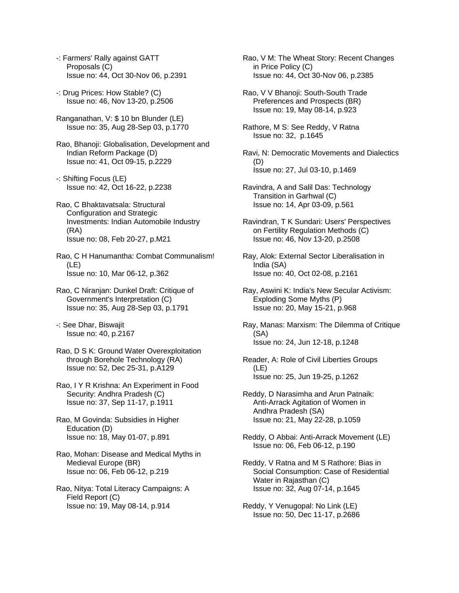- -: Farmers' Rally against GATT Proposals (C) Issue no: 44, Oct 30-Nov 06, p.2391
- -: Drug Prices: How Stable? (C) Issue no: 46, Nov 13-20, p.2506
- Ranganathan, V: \$ 10 bn Blunder (LE) Issue no: 35, Aug 28-Sep 03, p.1770
- Rao, Bhanoji: Globalisation, Development and Indian Reform Package (D) Issue no: 41, Oct 09-15, p.2229
- -: Shifting Focus (LE) Issue no: 42, Oct 16-22, p.2238
- Rao, C Bhaktavatsala: Structural Configuration and Strategic Investments: Indian Automobile Industry (RA) Issue no: 08, Feb 20-27, p.M21

Rao, C H Hanumantha: Combat Communalism! (LE) Issue no: 10, Mar 06-12, p.362

- Rao, C Niranjan: Dunkel Draft: Critique of Government's Interpretation (C) Issue no: 35, Aug 28-Sep 03, p.1791
- -: See Dhar, Biswajit Issue no: 40, p.2167
- Rao, D S K: Ground Water Overexploitation through Borehole Technology (RA) Issue no: 52, Dec 25-31, p.A129
- Rao, I Y R Krishna: An Experiment in Food Security: Andhra Pradesh (C) Issue no: 37, Sep 11-17, p.1911
- Rao, M Govinda: Subsidies in Higher Education (D) Issue no: 18, May 01-07, p.891
- Rao, Mohan: Disease and Medical Myths in Medieval Europe (BR) Issue no: 06, Feb 06-12, p.219
- Rao, Nitya: Total Literacy Campaigns: A Field Report (C) Issue no: 19, May 08-14, p.914

Rao, V M: The Wheat Story: Recent Changes in Price Policy (C) Issue no: 44, Oct 30-Nov 06, p.2385

- Rao, V V Bhanoji: South-South Trade Preferences and Prospects (BR) Issue no: 19, May 08-14, p.923
- Rathore, M S: See Reddy, V Ratna Issue no: 32, p.1645
- Ravi, N: Democratic Movements and Dialectics (D) Issue no: 27, Jul 03-10, p.1469
- Ravindra, A and Salil Das: Technology Transition in Garhwal (C) Issue no: 14, Apr 03-09, p.561
- Ravindran, T K Sundari: Users' Perspectives on Fertility Regulation Methods (C) Issue no: 46, Nov 13-20, p.2508
- Ray, Alok: External Sector Liberalisation in India (SA) Issue no: 40, Oct 02-08, p.2161
- Ray, Aswini K: India's New Secular Activism: Exploding Some Myths (P) Issue no: 20, May 15-21, p.968
- Ray, Manas: Marxism: The Dilemma of Critique (SA) Issue no: 24, Jun 12-18, p.1248
- Reader, A: Role of Civil Liberties Groups (LE) Issue no: 25, Jun 19-25, p.1262
- Reddy, D Narasimha and Arun Patnaik: Anti-Arrack Agitation of Women in Andhra Pradesh (SA) Issue no: 21, May 22-28, p.1059
- Reddy, O Abbai: Anti-Arrack Movement (LE) Issue no: 06, Feb 06-12, p.190
- Reddy, V Ratna and M S Rathore: Bias in Social Consumption: Case of Residential Water in Rajasthan (C) Issue no: 32, Aug 07-14, p.1645
- Reddy, Y Venugopal: No Link (LE) Issue no: 50, Dec 11-17, p.2686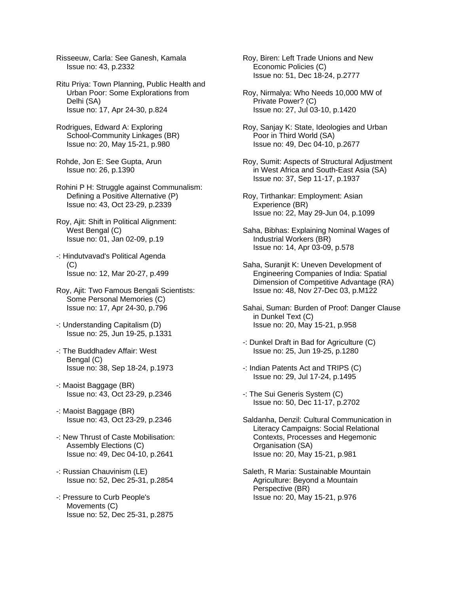Risseeuw, Carla: See Ganesh, Kamala Issue no: 43, p.2332

Ritu Priya: Town Planning, Public Health and Urban Poor: Some Explorations from Delhi (SA) Issue no: 17, Apr 24-30, p.824

Rodrigues, Edward A: Exploring School-Community Linkages (BR) Issue no: 20, May 15-21, p.980

Rohde, Jon E: See Gupta, Arun Issue no: 26, p.1390

Rohini P H: Struggle against Communalism: Defining a Positive Alternative (P) Issue no: 43, Oct 23-29, p.2339

Roy, Ajit: Shift in Political Alignment: West Bengal (C) Issue no: 01, Jan 02-09, p.19

-: Hindutvavad's Political Agenda  $(C)$ Issue no: 12, Mar 20-27, p.499

Roy, Ajit: Two Famous Bengali Scientists: Some Personal Memories (C) Issue no: 17, Apr 24-30, p.796

-: Understanding Capitalism (D) Issue no: 25, Jun 19-25, p.1331

-: The Buddhadev Affair: West Bengal (C) Issue no: 38, Sep 18-24, p.1973

-: Maoist Baggage (BR) Issue no: 43, Oct 23-29, p.2346

-: Maoist Baggage (BR) Issue no: 43, Oct 23-29, p.2346

-: New Thrust of Caste Mobilisation: Assembly Elections (C) Issue no: 49, Dec 04-10, p.2641

-: Russian Chauvinism (LE) Issue no: 52, Dec 25-31, p.2854

-: Pressure to Curb People's Movements (C) Issue no: 52, Dec 25-31, p.2875 Roy, Biren: Left Trade Unions and New Economic Policies (C) Issue no: 51, Dec 18-24, p.2777

Roy, Nirmalya: Who Needs 10,000 MW of Private Power? (C) Issue no: 27, Jul 03-10, p.1420

Roy, Sanjay K: State, Ideologies and Urban Poor in Third World (SA) Issue no: 49, Dec 04-10, p.2677

Roy, Sumit: Aspects of Structural Adjustment in West Africa and South-East Asia (SA) Issue no: 37, Sep 11-17, p.1937

Roy, Tirthankar: Employment: Asian Experience (BR) Issue no: 22, May 29-Jun 04, p.1099

Saha, Bibhas: Explaining Nominal Wages of Industrial Workers (BR) Issue no: 14, Apr 03-09, p.578

Saha, Suraniit K: Uneven Development of Engineering Companies of India: Spatial Dimension of Competitive Advantage (RA) Issue no: 48, Nov 27-Dec 03, p.M122

Sahai, Suman: Burden of Proof: Danger Clause in Dunkel Text (C) Issue no: 20, May 15-21, p.958

-: Dunkel Draft in Bad for Agriculture (C) Issue no: 25, Jun 19-25, p.1280

-: Indian Patents Act and TRIPS (C) Issue no: 29, Jul 17-24, p.1495

-: The Sui Generis System (C) Issue no: 50, Dec 11-17, p.2702

Saldanha, Denzil: Cultural Communication in Literacy Campaigns: Social Relational Contexts, Processes and Hegemonic Organisation (SA) Issue no: 20, May 15-21, p.981

Saleth, R Maria: Sustainable Mountain Agriculture: Beyond a Mountain Perspective (BR) Issue no: 20, May 15-21, p.976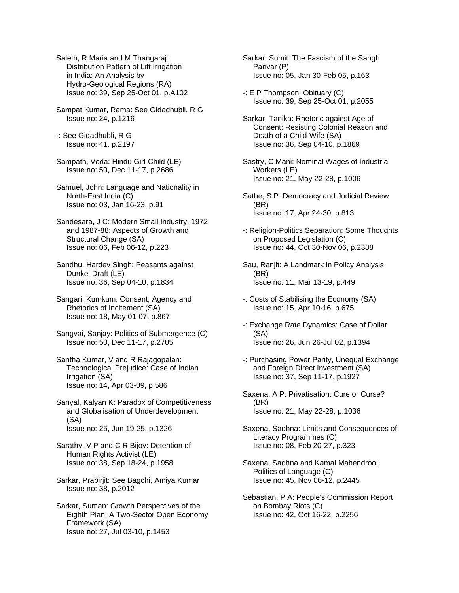Saleth, R Maria and M Thangaraj: Distribution Pattern of Lift Irrigation in India: An Analysis by Hydro-Geological Regions (RA) Issue no: 39, Sep 25-Oct 01, p.A102

Sampat Kumar, Rama: See Gidadhubli, R G Issue no: 24, p.1216

-: See Gidadhubli, R G Issue no: 41, p.2197

Sampath, Veda: Hindu Girl-Child (LE) Issue no: 50, Dec 11-17, p.2686

Samuel, John: Language and Nationality in North-East India (C) Issue no: 03, Jan 16-23, p.91

Sandesara, J C: Modern Small Industry, 1972 and 1987-88: Aspects of Growth and Structural Change (SA) Issue no: 06, Feb 06-12, p.223

Sandhu, Hardev Singh: Peasants against Dunkel Draft (LE) Issue no: 36, Sep 04-10, p.1834

Sangari, Kumkum: Consent, Agency and Rhetorics of Incitement (SA) Issue no: 18, May 01-07, p.867

Sangvai, Sanjay: Politics of Submergence (C) Issue no: 50, Dec 11-17, p.2705

Santha Kumar, V and R Rajagopalan: Technological Prejudice: Case of Indian Irrigation (SA) Issue no: 14, Apr 03-09, p.586

Sanyal, Kalyan K: Paradox of Competitiveness and Globalisation of Underdevelopment (SA) Issue no: 25, Jun 19-25, p.1326

Sarathy, V P and C R Bijoy: Detention of Human Rights Activist (LE) Issue no: 38, Sep 18-24, p.1958

Sarkar, Prabirjit: See Bagchi, Amiya Kumar Issue no: 38, p.2012

Sarkar, Suman: Growth Perspectives of the Eighth Plan: A Two-Sector Open Economy Framework (SA) Issue no: 27, Jul 03-10, p.1453

Sarkar, Sumit: The Fascism of the Sangh Parivar (P) Issue no: 05, Jan 30-Feb 05, p.163

-: E P Thompson: Obituary (C) Issue no: 39, Sep 25-Oct 01, p.2055

Sarkar, Tanika: Rhetoric against Age of Consent: Resisting Colonial Reason and Death of a Child-Wife (SA) Issue no: 36, Sep 04-10, p.1869

Sastry, C Mani: Nominal Wages of Industrial Workers (LE) Issue no: 21, May 22-28, p.1006

Sathe, S P: Democracy and Judicial Review (BR) Issue no: 17, Apr 24-30, p.813

-: Religion-Politics Separation: Some Thoughts on Proposed Legislation (C) Issue no: 44, Oct 30-Nov 06, p.2388

Sau, Ranjit: A Landmark in Policy Analysis (BR) Issue no: 11, Mar 13-19, p.449

-: Costs of Stabilising the Economy (SA) Issue no: 15, Apr 10-16, p.675

-: Exchange Rate Dynamics: Case of Dollar (SA) Issue no: 26, Jun 26-Jul 02, p.1394

-: Purchasing Power Parity, Unequal Exchange and Foreign Direct Investment (SA) Issue no: 37, Sep 11-17, p.1927

Saxena, A P: Privatisation: Cure or Curse? (BR) Issue no: 21, May 22-28, p.1036

Saxena, Sadhna: Limits and Consequences of Literacy Programmes (C) Issue no: 08, Feb 20-27, p.323

Saxena, Sadhna and Kamal Mahendroo: Politics of Language (C) Issue no: 45, Nov 06-12, p.2445

Sebastian, P A: People's Commission Report on Bombay Riots (C) Issue no: 42, Oct 16-22, p.2256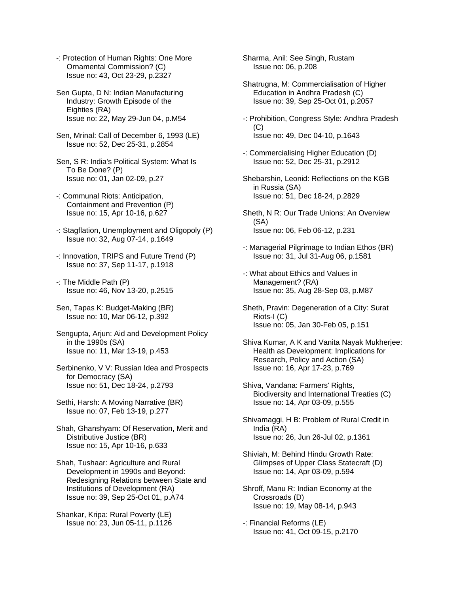-: Protection of Human Rights: One More Ornamental Commission? (C) Issue no: 43, Oct 23-29, p.2327

Sen Gupta, D N: Indian Manufacturing Industry: Growth Episode of the Eighties (RA) Issue no: 22, May 29-Jun 04, p.M54

Sen, Mrinal: Call of December 6, 1993 (LE) Issue no: 52, Dec 25-31, p.2854

Sen, S R: India's Political System: What Is To Be Done? (P) Issue no: 01, Jan 02-09, p.27

-: Communal Riots: Anticipation, Containment and Prevention (P) Issue no: 15, Apr 10-16, p.627

-: Stagflation, Unemployment and Oligopoly (P) Issue no: 32, Aug 07-14, p.1649

-: Innovation, TRIPS and Future Trend (P) Issue no: 37, Sep 11-17, p.1918

-: The Middle Path (P) Issue no: 46, Nov 13-20, p.2515

Sen, Tapas K: Budget-Making (BR) Issue no: 10, Mar 06-12, p.392

Sengupta, Arjun: Aid and Development Policy in the 1990s (SA) Issue no: 11, Mar 13-19, p.453

Serbinenko, V V: Russian Idea and Prospects for Democracy (SA) Issue no: 51, Dec 18-24, p.2793

Sethi, Harsh: A Moving Narrative (BR) Issue no: 07, Feb 13-19, p.277

Shah, Ghanshyam: Of Reservation, Merit and Distributive Justice (BR) Issue no: 15, Apr 10-16, p.633

Shah, Tushaar: Agriculture and Rural Development in 1990s and Beyond: Redesigning Relations between State and Institutions of Development (RA) Issue no: 39, Sep 25-Oct 01, p.A74

Shankar, Kripa: Rural Poverty (LE) Issue no: 23, Jun 05-11, p.1126 Sharma, Anil: See Singh, Rustam Issue no: 06, p.208

Shatrugna, M: Commercialisation of Higher Education in Andhra Pradesh (C) Issue no: 39, Sep 25-Oct 01, p.2057

-: Prohibition, Congress Style: Andhra Pradesh (C) Issue no: 49, Dec 04-10, p.1643

-: Commercialising Higher Education (D) Issue no: 52, Dec 25-31, p.2912

Shebarshin, Leonid: Reflections on the KGB in Russia (SA) Issue no: 51, Dec 18-24, p.2829

Sheth, N R: Our Trade Unions: An Overview (SA) Issue no: 06, Feb 06-12, p.231

-: Managerial Pilgrimage to Indian Ethos (BR) Issue no: 31, Jul 31-Aug 06, p.1581

-: What about Ethics and Values in Management? (RA) Issue no: 35, Aug 28-Sep 03, p.M87

Sheth, Pravin: Degeneration of a City: Surat Riots-I (C) Issue no: 05, Jan 30-Feb 05, p.151

Shiva Kumar, A K and Vanita Nayak Mukherjee: Health as Development: Implications for Research, Policy and Action (SA) Issue no: 16, Apr 17-23, p.769

Shiva, Vandana: Farmers' Rights, Biodiversity and International Treaties (C) Issue no: 14, Apr 03-09, p.555

Shivamaggi, H B: Problem of Rural Credit in India (RA) Issue no: 26, Jun 26-Jul 02, p.1361

Shiviah, M: Behind Hindu Growth Rate: Glimpses of Upper Class Statecraft (D) Issue no: 14, Apr 03-09, p.594

Shroff, Manu R: Indian Economy at the Crossroads (D) Issue no: 19, May 08-14, p.943

-: Financial Reforms (LE) Issue no: 41, Oct 09-15, p.2170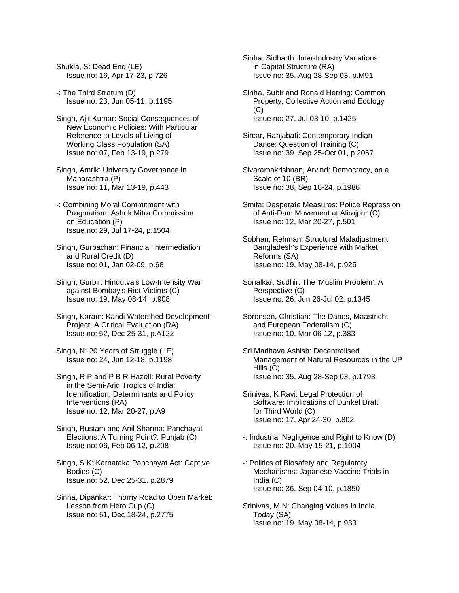Shukla, S: Dead End (LE) Issue no: 16, Apr 17-23, p.726

-: The Third Stratum (D) Issue no: 23, Jun 05-11, p.1195

- Singh, Ajit Kumar: Social Consequences of New Economic Policies: With Particular Reference to Levels of Living of Working Class Population (SA) Issue no: 07, Feb 13-19, p.279
- Singh, Amrik: University Governance in Maharashtra (P) Issue no: 11, Mar 13-19, p.443
- -: Combining Moral Commitment with Pragmatism: Ashok Mitra Commission on Education (P) Issue no: 29, Jul 17-24, p.1504
- Singh, Gurbachan: Financial Intermediation and Rural Credit (D) Issue no: 01, Jan 02-09, p.68
- Singh, Gurbir: Hindutva's Low-Intensity War against Bombay's Riot Victims (C) Issue no: 19, May 08-14, p.908
- Singh, Karam: Kandi Watershed Development Project: A Critical Evaluation (RA) Issue no: 52, Dec 25-31, p.A122
- Singh, N: 20 Years of Struggle (LE) Issue no: 24, Jun 12-18, p.1198
- Singh, R P and P B R Hazell: Rural Poverty in the Semi-Arid Tropics of India: Identification, Determinants and Policy Interventions (RA) Issue no: 12, Mar 20-27, p.A9
- Singh, Rustam and Anil Sharma: Panchayat Elections: A Turning Point?: Punjab (C) Issue no: 06, Feb 06-12, p.208
- Singh, S K: Karnataka Panchayat Act: Captive Bodies (C) Issue no: 52, Dec 25-31, p.2879
- Sinha, Dipankar: Thorny Road to Open Market: Lesson from Hero Cup (C) Issue no: 51, Dec 18-24, p.2775
- Sinha, Sidharth: Inter-Industry Variations in Capital Structure (RA) Issue no: 35, Aug 28-Sep 03, p.M91
- Sinha, Subir and Ronald Herring: Common Property, Collective Action and Ecology (C) Issue no: 27, Jul 03-10, p.1425
- Sircar, Ranjabati: Contemporary Indian Dance: Question of Training (C) Issue no: 39, Sep 25-Oct 01, p.2067
- Sivaramakrishnan, Arvind: Democracy, on a Scale of 10 (BR) Issue no: 38, Sep 18-24, p.1986
- Smita: Desperate Measures: Police Repression of Anti-Dam Movement at Alirajpur (C) Issue no: 12, Mar 20-27, p.501
- Sobhan, Rehman: Structural Maladjustment: Bangladesh's Experience with Market Reforms (SA) Issue no: 19, May 08-14, p.925
- Sonalkar, Sudhir: The 'Muslim Problem': A Perspective (C) Issue no: 26, Jun 26-Jul 02, p.1345
- Sorensen, Christian: The Danes, Maastricht and European Federalism (C) Issue no: 10, Mar 06-12, p.383
- Sri Madhava Ashish: Decentralised Management of Natural Resources in the UP Hills (C) Issue no: 35, Aug 28-Sep 03, p.1793
- Srinivas, K Ravi: Legal Protection of Software: Implications of Dunkel Draft for Third World (C) Issue no: 17, Apr 24-30, p.802
- -: Industrial Negligence and Right to Know (D) Issue no: 20, May 15-21, p.1004
- -: Politics of Biosafety and Regulatory Mechanisms: Japanese Vaccine Trials in India (C) Issue no: 36, Sep 04-10, p.1850
- Srinivas, M N: Changing Values in India Today (SA) Issue no: 19, May 08-14, p.933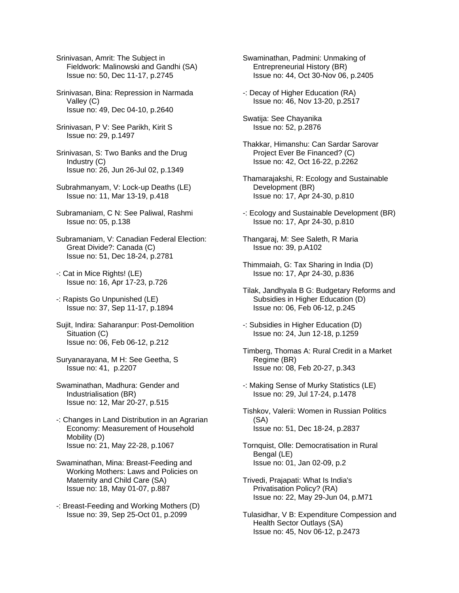Srinivasan, Amrit: The Subject in Fieldwork: Malinowski and Gandhi (SA) Issue no: 50, Dec 11-17, p.2745

Srinivasan, Bina: Repression in Narmada Valley (C) Issue no: 49, Dec 04-10, p.2640

- Srinivasan, P V: See Parikh, Kirit S Issue no: 29, p.1497
- Srinivasan, S: Two Banks and the Drug Industry (C) Issue no: 26, Jun 26-Jul 02, p.1349
- Subrahmanyam, V: Lock-up Deaths (LE) Issue no: 11, Mar 13-19, p.418
- Subramaniam, C N: See Paliwal, Rashmi Issue no: 05, p.138
- Subramaniam, V: Canadian Federal Election: Great Divide?: Canada (C) Issue no: 51, Dec 18-24, p.2781
- -: Cat in Mice Rights! (LE) Issue no: 16, Apr 17-23, p.726
- -: Rapists Go Unpunished (LE) Issue no: 37, Sep 11-17, p.1894
- Sujit, Indira: Saharanpur: Post-Demolition Situation (C) Issue no: 06, Feb 06-12, p.212
- Suryanarayana, M H: See Geetha, S Issue no: 41, p.2207
- Swaminathan, Madhura: Gender and Industrialisation (BR) Issue no: 12, Mar 20-27, p.515
- -: Changes in Land Distribution in an Agrarian Economy: Measurement of Household Mobility (D) Issue no: 21, May 22-28, p.1067
- Swaminathan, Mina: Breast-Feeding and Working Mothers: Laws and Policies on Maternity and Child Care (SA) Issue no: 18, May 01-07, p.887
- -: Breast-Feeding and Working Mothers (D) Issue no: 39, Sep 25-Oct 01, p.2099
- Swaminathan, Padmini: Unmaking of Entrepreneurial History (BR) Issue no: 44, Oct 30-Nov 06, p.2405
- -: Decay of Higher Education (RA) Issue no: 46, Nov 13-20, p.2517
- Swatija: See Chayanika Issue no: 52, p.2876
- Thakkar, Himanshu: Can Sardar Sarovar Project Ever Be Financed? (C) Issue no: 42, Oct 16-22, p.2262
- Thamarajakshi, R: Ecology and Sustainable Development (BR) Issue no: 17, Apr 24-30, p.810
- -: Ecology and Sustainable Development (BR) Issue no: 17, Apr 24-30, p.810
- Thangaraj, M: See Saleth, R Maria Issue no: 39, p.A102
- Thimmaiah, G: Tax Sharing in India (D) Issue no: 17, Apr 24-30, p.836
- Tilak, Jandhyala B G: Budgetary Reforms and Subsidies in Higher Education (D) Issue no: 06, Feb 06-12, p.245
- -: Subsidies in Higher Education (D) Issue no: 24, Jun 12-18, p.1259
- Timberg, Thomas A: Rural Credit in a Market Regime (BR) Issue no: 08, Feb 20-27, p.343
- -: Making Sense of Murky Statistics (LE) Issue no: 29, Jul 17-24, p.1478
- Tishkov, Valerii: Women in Russian Politics (SA) Issue no: 51, Dec 18-24, p.2837
- Tornquist, Olle: Democratisation in Rural Bengal (LE) Issue no: 01, Jan 02-09, p.2
- Trivedi, Prajapati: What Is India's Privatisation Policy? (RA) Issue no: 22, May 29-Jun 04, p.M71
- Tulasidhar, V B: Expenditure Compession and Health Sector Outlays (SA) Issue no: 45, Nov 06-12, p.2473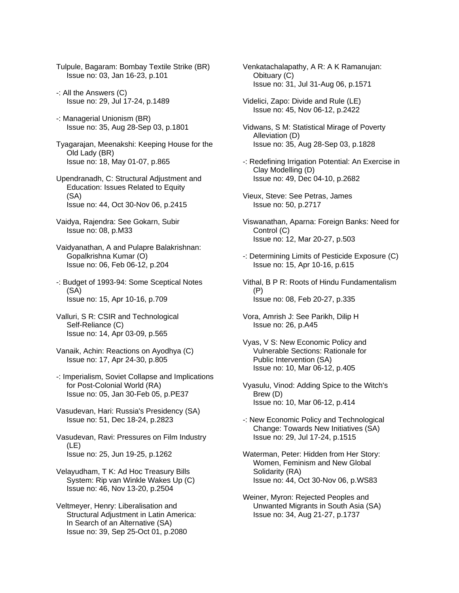- Tulpule, Bagaram: Bombay Textile Strike (BR) Issue no: 03, Jan 16-23, p.101
- -: All the Answers (C) Issue no: 29, Jul 17-24, p.1489
- -: Managerial Unionism (BR) Issue no: 35, Aug 28-Sep 03, p.1801
- Tyagarajan, Meenakshi: Keeping House for the Old Lady (BR) Issue no: 18, May 01-07, p.865
- Upendranadh, C: Structural Adjustment and Education: Issues Related to Equity (SA) Issue no: 44, Oct 30-Nov 06, p.2415
- Vaidya, Rajendra: See Gokarn, Subir Issue no: 08, p.M33
- Vaidyanathan, A and Pulapre Balakrishnan: Gopalkrishna Kumar (O) Issue no: 06, Feb 06-12, p.204
- -: Budget of 1993-94: Some Sceptical Notes (SA) Issue no: 15, Apr 10-16, p.709
- Valluri, S R: CSIR and Technological Self-Reliance (C) Issue no: 14, Apr 03-09, p.565
- Vanaik, Achin: Reactions on Ayodhya (C) Issue no: 17, Apr 24-30, p.805
- -: Imperialism, Soviet Collapse and Implications for Post-Colonial World (RA) Issue no: 05, Jan 30-Feb 05, p.PE37
- Vasudevan, Hari: Russia's Presidency (SA) Issue no: 51, Dec 18-24, p.2823
- Vasudevan, Ravi: Pressures on Film Industry (LE) Issue no: 25, Jun 19-25, p.1262
- Velayudham, T K: Ad Hoc Treasury Bills System: Rip van Winkle Wakes Up (C) Issue no: 46, Nov 13-20, p.2504
- Veltmeyer, Henry: Liberalisation and Structural Adjustment in Latin America: In Search of an Alternative (SA) Issue no: 39, Sep 25-Oct 01, p.2080
- Venkatachalapathy, A R: A K Ramanujan: Obituary (C) Issue no: 31, Jul 31-Aug 06, p.1571
- Videlici, Zapo: Divide and Rule (LE) Issue no: 45, Nov 06-12, p.2422
- Vidwans, S M: Statistical Mirage of Poverty Alleviation (D) Issue no: 35, Aug 28-Sep 03, p.1828
- -: Redefining Irrigation Potential: An Exercise in Clay Modelling (D) Issue no: 49, Dec 04-10, p.2682
- Vieux, Steve: See Petras, James Issue no: 50, p.2717
- Viswanathan, Aparna: Foreign Banks: Need for Control (C) Issue no: 12, Mar 20-27, p.503
- -: Determining Limits of Pesticide Exposure (C) Issue no: 15, Apr 10-16, p.615
- Vithal, B P R: Roots of Hindu Fundamentalism (P) Issue no: 08, Feb 20-27, p.335
- Vora, Amrish J: See Parikh, Dilip H Issue no: 26, p.A45
- Vyas, V S: New Economic Policy and Vulnerable Sections: Rationale for Public Intervention (SA) Issue no: 10, Mar 06-12, p.405
- Vyasulu, Vinod: Adding Spice to the Witch's Brew (D) Issue no: 10, Mar 06-12, p.414
- -: New Economic Policy and Technological Change: Towards New Initiatives (SA) Issue no: 29, Jul 17-24, p.1515
- Waterman, Peter: Hidden from Her Story: Women, Feminism and New Global Solidarity (RA) Issue no: 44, Oct 30-Nov 06, p.WS83
- Weiner, Myron: Rejected Peoples and Unwanted Migrants in South Asia (SA) Issue no: 34, Aug 21-27, p.1737